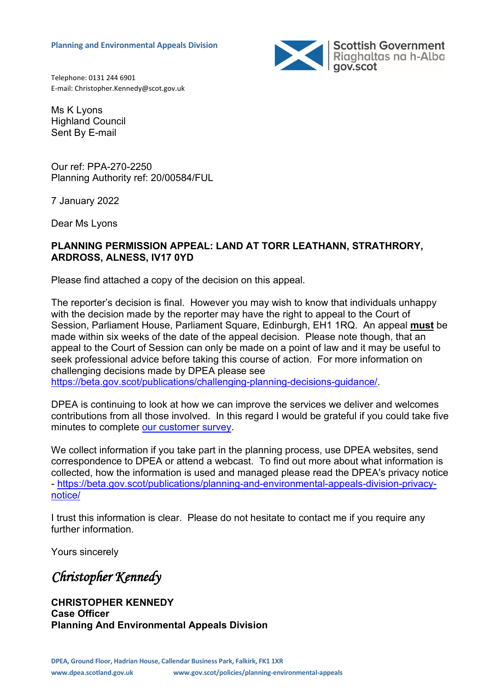

Telephone: 0131 244 6901 E-mail: Christopher.Kennedy@scot.gov.uk

Ms K Lyons Highland Council Sent By E-mail

Our ref: PPA-270-2250 Planning Authority ref: 20/00584/FUL

7 January 2022

Dear Ms Lyons

#### **PLANNING PERMISSION APPEAL: LAND AT TORR LEATHANN, STRATHRORY, ARDROSS, ALNESS, IV17 0YD**

Please find attached a copy of the decision on this appeal.

The reporter's decision is final. However you may wish to know that individuals unhappy with the decision made by the reporter may have the right to appeal to the Court of Session, Parliament House, Parliament Square, Edinburgh, EH1 1RQ. An appeal **must** be made within six weeks of the date of the appeal decision. Please note though, that an appeal to the Court of Session can only be made on a point of law and it may be useful to seek professional advice before taking this course of action. For more information on challenging decisions made by DPEA please see [https://beta.gov.scot/publications/challenging-planning-decisions-guidance/.](https://beta.gov.scot/publications/challenging-planning-decisions-guidance/)

DPEA is continuing to look at how we can improve the services we deliver and welcomes contributions from all those involved. In this regard I would be grateful if you could take five minutes to complete [our customer survey.](https://forms.office.com/r/FdutaBquj7)

We collect information if you take part in the planning process, use DPEA websites, send correspondence to DPEA or attend a webcast. To find out more about what information is collected, how the information is used and managed please read the DPEA's privacy notice - [https://beta.gov.scot/publications/planning-and-environmental-appeals-division-privacy](https://beta.gov.scot/publications/planning-and-environmental-appeals-division-privacy-notice/)[notice/](https://beta.gov.scot/publications/planning-and-environmental-appeals-division-privacy-notice/)

I trust this information is clear. Please do not hesitate to contact me if you require any further information.

Yours sincerely

*Christopher Kennedy* 

**CHRISTOPHER KENNEDY Case Officer Planning And Environmental Appeals Division**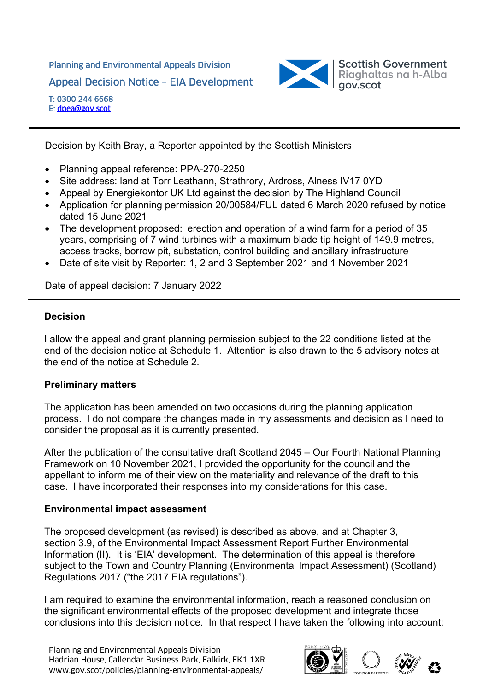# Planning and Environmental Appeals Division Appeal Decision Notice – EIA Development



T: 0300 244 6668 E: dpea@gov.scot

Decision by Keith Bray, a Reporter appointed by the Scottish Ministers

- Planning appeal reference: PPA-270-2250
- Site address: land at Torr Leathann, Strathrory, Ardross, Alness IV17 0YD
- Appeal by Energiekontor UK Ltd against the decision by The Highland Council
- Application for planning permission 20/00584/FUL dated 6 March 2020 refused by notice dated 15 June 2021
- The development proposed: erection and operation of a wind farm for a period of 35 years, comprising of 7 wind turbines with a maximum blade tip height of 149.9 metres, access tracks, borrow pit, substation, control building and ancillary infrastructure
- Date of site visit by Reporter: 1, 2 and 3 September 2021 and 1 November 2021

Date of appeal decision: 7 January 2022

# **Decision**

I allow the appeal and grant planning permission subject to the 22 conditions listed at the end of the decision notice at Schedule 1. Attention is also drawn to the 5 advisory notes at the end of the notice at Schedule 2.

## **Preliminary matters**

The application has been amended on two occasions during the planning application process. I do not compare the changes made in my assessments and decision as I need to consider the proposal as it is currently presented.

After the publication of the consultative draft Scotland 2045 – Our Fourth National Planning Framework on 10 November 2021, I provided the opportunity for the council and the appellant to inform me of their view on the materiality and relevance of the draft to this case. I have incorporated their responses into my considerations for this case.

# **Environmental impact assessment**

The proposed development (as revised) is described as above, and at Chapter 3, section 3.9, of the Environmental Impact Assessment Report Further Environmental Information (II). It is 'EIA' development. The determination of this appeal is therefore subject to the Town and Country Planning (Environmental Impact Assessment) (Scotland) Regulations 2017 ("the 2017 EIA regulations").

I am required to examine the environmental information, reach a reasoned conclusion on the significant environmental effects of the proposed development and integrate those conclusions into this decision notice. In that respect I have taken the following into account:

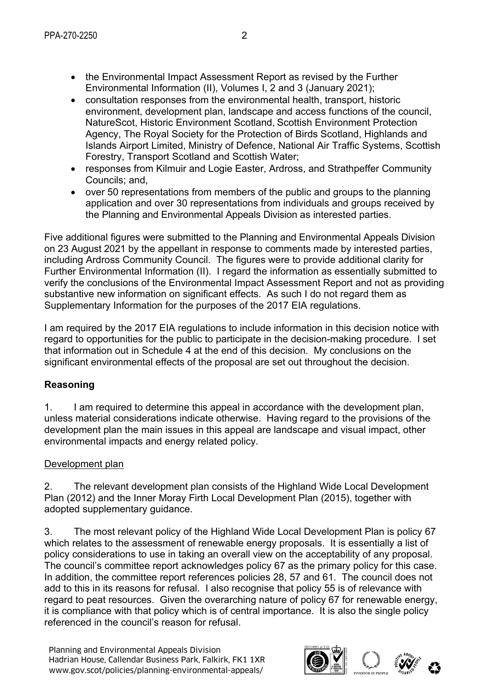- the Environmental Impact Assessment Report as revised by the Further Environmental Information (II), Volumes I, 2 and 3 (January 2021);
- consultation responses from the environmental health, transport, historic environment, development plan, landscape and access functions of the council, NatureScot, Historic Environment Scotland, Scottish Environment Protection Agency, The Royal Society for the Protection of Birds Scotland, Highlands and Islands Airport Limited, Ministry of Defence, National Air Traffic Systems, Scottish Forestry, Transport Scotland and Scottish Water;
- responses from Kilmuir and Logie Easter, Ardross, and Strathpeffer Community Councils; and,
- over 50 representations from members of the public and groups to the planning application and over 30 representations from individuals and groups received by the Planning and Environmental Appeals Division as interested parties.

Five additional figures were submitted to the Planning and Environmental Appeals Division on 23 August 2021 by the appellant in response to comments made by interested parties, including Ardross Community Council. The figures were to provide additional clarity for Further Environmental Information (II). I regard the information as essentially submitted to verify the conclusions of the Environmental Impact Assessment Report and not as providing substantive new information on significant effects. As such I do not regard them as Supplementary Information for the purposes of the 2017 EIA regulations.

I am required by the 2017 EIA regulations to include information in this decision notice with regard to opportunities for the public to participate in the decision-making procedure. I set that information out in Schedule 4 at the end of this decision. My conclusions on the significant environmental effects of the proposal are set out throughout the decision.

# **Reasoning**

1. I am required to determine this appeal in accordance with the development plan, unless material considerations indicate otherwise. Having regard to the provisions of the development plan the main issues in this appeal are landscape and visual impact, other environmental impacts and energy related policy.

# Development plan

2. The relevant development plan consists of the Highland Wide Local Development Plan (2012) and the Inner Moray Firth Local Development Plan (2015), together with adopted supplementary guidance.

3. The most relevant policy of the Highland Wide Local Development Plan is policy 67 which relates to the assessment of renewable energy proposals. It is essentially a list of policy considerations to use in taking an overall view on the acceptability of any proposal. The council's committee report acknowledges policy 67 as the primary policy for this case. In addition, the committee report references policies 28, 57 and 61. The council does not add to this in its reasons for refusal. I also recognise that policy 55 is of relevance with regard to peat resources. Given the overarching nature of policy 67 for renewable energy, it is compliance with that policy which is of central importance. It is also the single policy referenced in the council's reason for refusal.

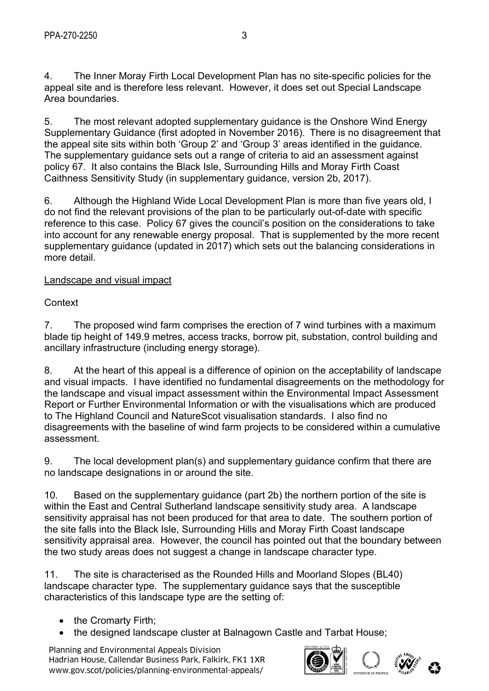4. The Inner Moray Firth Local Development Plan has no site-specific policies for the appeal site and is therefore less relevant. However, it does set out Special Landscape Area boundaries.

5. The most relevant adopted supplementary guidance is the Onshore Wind Energy Supplementary Guidance (first adopted in November 2016). There is no disagreement that the appeal site sits within both 'Group 2' and 'Group 3' areas identified in the guidance. The supplementary guidance sets out a range of criteria to aid an assessment against policy 67. It also contains the Black Isle, Surrounding Hills and Moray Firth Coast Caithness Sensitivity Study (in supplementary guidance, version 2b, 2017).

6. Although the Highland Wide Local Development Plan is more than five years old, I do not find the relevant provisions of the plan to be particularly out-of-date with specific reference to this case. Policy 67 gives the council's position on the considerations to take into account for any renewable energy proposal. That is supplemented by the more recent supplementary guidance (updated in 2017) which sets out the balancing considerations in more detail.

# Landscape and visual impact

Context

7. The proposed wind farm comprises the erection of 7 wind turbines with a maximum blade tip height of 149.9 metres, access tracks, borrow pit, substation, control building and ancillary infrastructure (including energy storage).

8. At the heart of this appeal is a difference of opinion on the acceptability of landscape and visual impacts. I have identified no fundamental disagreements on the methodology for the landscape and visual impact assessment within the Environmental Impact Assessment Report or Further Environmental Information or with the visualisations which are produced to The Highland Council and NatureScot visualisation standards. I also find no disagreements with the baseline of wind farm projects to be considered within a cumulative assessment.

9. The local development plan(s) and supplementary guidance confirm that there are no landscape designations in or around the site.

10. Based on the supplementary guidance (part 2b) the northern portion of the site is within the East and Central Sutherland landscape sensitivity study area. A landscape sensitivity appraisal has not been produced for that area to date. The southern portion of the site falls into the Black Isle, Surrounding Hills and Moray Firth Coast landscape sensitivity appraisal area. However, the council has pointed out that the boundary between the two study areas does not suggest a change in landscape character type.

11. The site is characterised as the Rounded Hills and Moorland Slopes (BL40) landscape character type. The supplementary guidance says that the susceptible characteristics of this landscape type are the setting of:

- the Cromarty Firth;
- the designed landscape cluster at Balnagown Castle and Tarbat House;

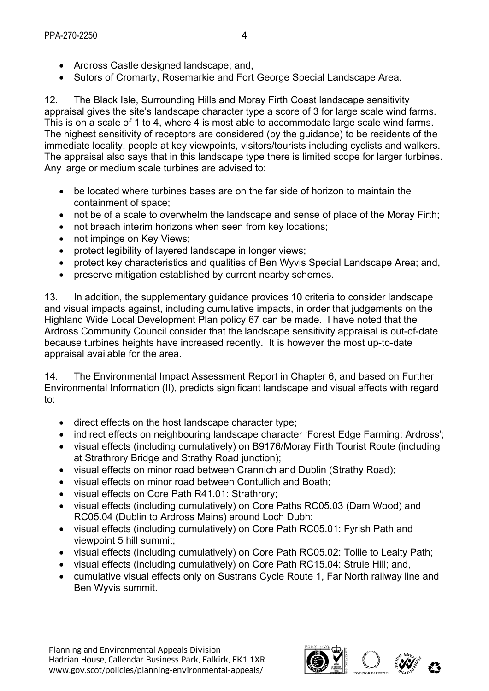- Ardross Castle designed landscape; and,
- Sutors of Cromarty, Rosemarkie and Fort George Special Landscape Area.

12. The Black Isle, Surrounding Hills and Moray Firth Coast landscape sensitivity appraisal gives the site's landscape character type a score of 3 for large scale wind farms. This is on a scale of 1 to 4, where 4 is most able to accommodate large scale wind farms. The highest sensitivity of receptors are considered (by the guidance) to be residents of the immediate locality, people at key viewpoints, visitors/tourists including cyclists and walkers. The appraisal also says that in this landscape type there is limited scope for larger turbines. Any large or medium scale turbines are advised to:

- be located where turbines bases are on the far side of horizon to maintain the containment of space;
- not be of a scale to overwhelm the landscape and sense of place of the Moray Firth;
- not breach interim horizons when seen from key locations;
- not impinge on Key Views;
- protect legibility of layered landscape in longer views;
- protect key characteristics and qualities of Ben Wyvis Special Landscape Area; and,
- preserve mitigation established by current nearby schemes.

13. In addition, the supplementary guidance provides 10 criteria to consider landscape and visual impacts against, including cumulative impacts, in order that judgements on the Highland Wide Local Development Plan policy 67 can be made. I have noted that the Ardross Community Council consider that the landscape sensitivity appraisal is out-of-date because turbines heights have increased recently. It is however the most up-to-date appraisal available for the area.

14. The Environmental Impact Assessment Report in Chapter 6, and based on Further Environmental Information (II), predicts significant landscape and visual effects with regard to:

- direct effects on the host landscape character type;
- indirect effects on neighbouring landscape character 'Forest Edge Farming: Ardross';
- visual effects (including cumulatively) on B9176/Moray Firth Tourist Route (including at Strathrory Bridge and Strathy Road junction);
- visual effects on minor road between Crannich and Dublin (Strathy Road);
- visual effects on minor road between Contullich and Boath;
- visual effects on Core Path R41.01: Strathrory;
- visual effects (including cumulatively) on Core Paths RC05.03 (Dam Wood) and RC05.04 (Dublin to Ardross Mains) around Loch Dubh;
- visual effects (including cumulatively) on Core Path RC05.01: Fyrish Path and viewpoint 5 hill summit;
- visual effects (including cumulatively) on Core Path RC05.02: Tollie to Lealty Path;
- visual effects (including cumulatively) on Core Path RC15.04: Struie Hill; and,
- cumulative visual effects only on Sustrans Cycle Route 1, Far North railway line and Ben Wyvis summit.

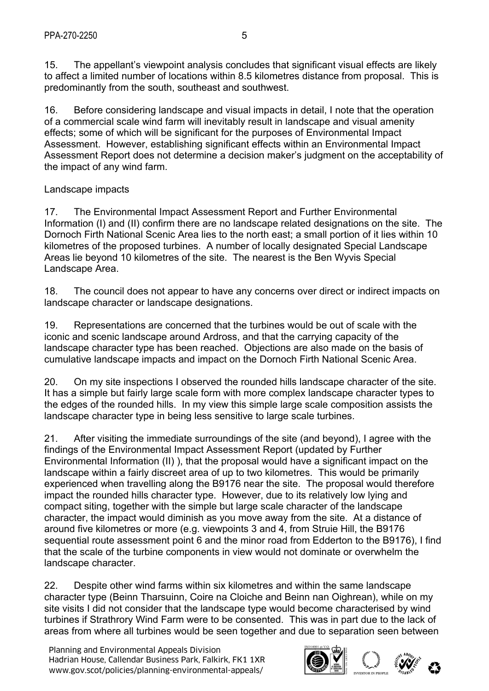15. The appellant's viewpoint analysis concludes that significant visual effects are likely to affect a limited number of locations within 8.5 kilometres distance from proposal. This is predominantly from the south, southeast and southwest.

16. Before considering landscape and visual impacts in detail, I note that the operation of a commercial scale wind farm will inevitably result in landscape and visual amenity effects; some of which will be significant for the purposes of Environmental Impact Assessment. However, establishing significant effects within an Environmental Impact Assessment Report does not determine a decision maker's judgment on the acceptability of the impact of any wind farm.

# Landscape impacts

17. The Environmental Impact Assessment Report and Further Environmental Information (I) and (II) confirm there are no landscape related designations on the site. The Dornoch Firth National Scenic Area lies to the north east; a small portion of it lies within 10 kilometres of the proposed turbines. A number of locally designated Special Landscape Areas lie beyond 10 kilometres of the site. The nearest is the Ben Wyvis Special Landscape Area.

18. The council does not appear to have any concerns over direct or indirect impacts on landscape character or landscape designations.

19. Representations are concerned that the turbines would be out of scale with the iconic and scenic landscape around Ardross, and that the carrying capacity of the landscape character type has been reached. Objections are also made on the basis of cumulative landscape impacts and impact on the Dornoch Firth National Scenic Area.

20. On my site inspections I observed the rounded hills landscape character of the site. It has a simple but fairly large scale form with more complex landscape character types to the edges of the rounded hills. In my view this simple large scale composition assists the landscape character type in being less sensitive to large scale turbines.

21. After visiting the immediate surroundings of the site (and beyond), I agree with the findings of the Environmental Impact Assessment Report (updated by Further Environmental Information (II) ), that the proposal would have a significant impact on the landscape within a fairly discreet area of up to two kilometres. This would be primarily experienced when travelling along the B9176 near the site. The proposal would therefore impact the rounded hills character type. However, due to its relatively low lying and compact siting, together with the simple but large scale character of the landscape character, the impact would diminish as you move away from the site. At a distance of around five kilometres or more (e.g. viewpoints 3 and 4, from Struie Hill, the B9176 sequential route assessment point 6 and the minor road from Edderton to the B9176), I find that the scale of the turbine components in view would not dominate or overwhelm the landscape character.

22. Despite other wind farms within six kilometres and within the same landscape character type (Beinn Tharsuinn, Coire na Cloiche and Beinn nan Oighrean), while on my site visits I did not consider that the landscape type would become characterised by wind turbines if Strathrory Wind Farm were to be consented. This was in part due to the lack of areas from where all turbines would be seen together and due to separation seen between

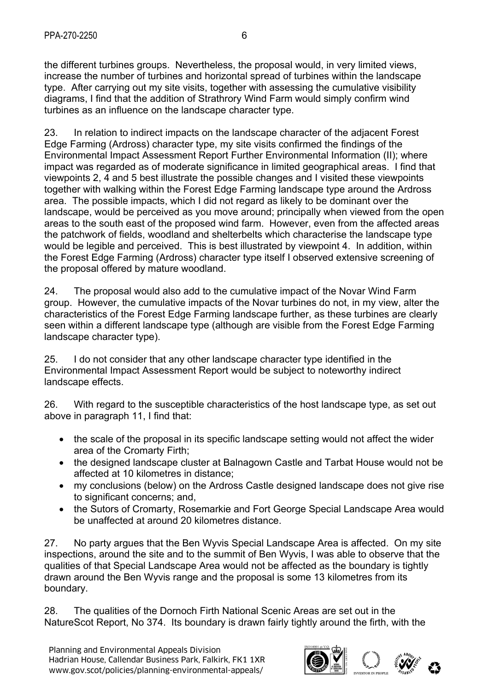the different turbines groups. Nevertheless, the proposal would, in very limited views, increase the number of turbines and horizontal spread of turbines within the landscape type. After carrying out my site visits, together with assessing the cumulative visibility diagrams, I find that the addition of Strathrory Wind Farm would simply confirm wind turbines as an influence on the landscape character type.

23. In relation to indirect impacts on the landscape character of the adjacent Forest Edge Farming (Ardross) character type, my site visits confirmed the findings of the Environmental Impact Assessment Report Further Environmental Information (II); where impact was regarded as of moderate significance in limited geographical areas. I find that viewpoints 2, 4 and 5 best illustrate the possible changes and I visited these viewpoints together with walking within the Forest Edge Farming landscape type around the Ardross area. The possible impacts, which I did not regard as likely to be dominant over the landscape, would be perceived as you move around; principally when viewed from the open areas to the south east of the proposed wind farm. However, even from the affected areas the patchwork of fields, woodland and shelterbelts which characterise the landscape type would be legible and perceived. This is best illustrated by viewpoint 4. In addition, within the Forest Edge Farming (Ardross) character type itself I observed extensive screening of the proposal offered by mature woodland.

24. The proposal would also add to the cumulative impact of the Novar Wind Farm group. However, the cumulative impacts of the Novar turbines do not, in my view, alter the characteristics of the Forest Edge Farming landscape further, as these turbines are clearly seen within a different landscape type (although are visible from the Forest Edge Farming landscape character type).

25. I do not consider that any other landscape character type identified in the Environmental Impact Assessment Report would be subject to noteworthy indirect landscape effects.

26. With regard to the susceptible characteristics of the host landscape type, as set out above in paragraph 11, I find that:

- the scale of the proposal in its specific landscape setting would not affect the wider area of the Cromarty Firth;
- the designed landscape cluster at Balnagown Castle and Tarbat House would not be affected at 10 kilometres in distance;
- my conclusions (below) on the Ardross Castle designed landscape does not give rise to significant concerns; and,
- the Sutors of Cromarty, Rosemarkie and Fort George Special Landscape Area would be unaffected at around 20 kilometres distance.

27. No party argues that the Ben Wyvis Special Landscape Area is affected. On my site inspections, around the site and to the summit of Ben Wyvis, I was able to observe that the qualities of that Special Landscape Area would not be affected as the boundary is tightly drawn around the Ben Wyvis range and the proposal is some 13 kilometres from its boundary.

28. The qualities of the Dornoch Firth National Scenic Areas are set out in the NatureScot Report, No 374. Its boundary is drawn fairly tightly around the firth, with the

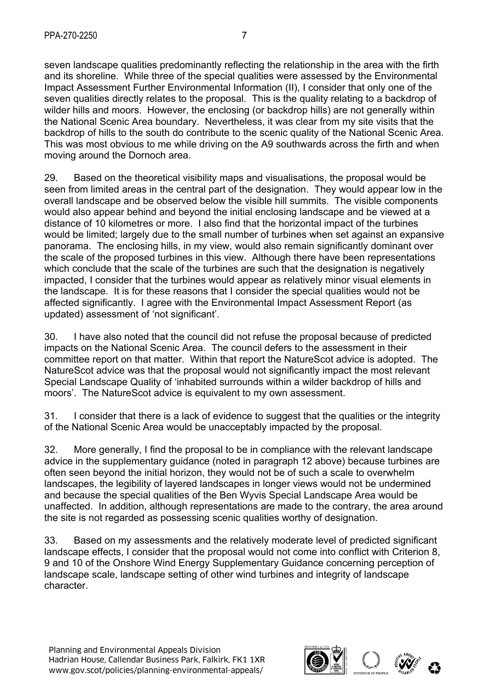seven landscape qualities predominantly reflecting the relationship in the area with the firth and its shoreline. While three of the special qualities were assessed by the Environmental Impact Assessment Further Environmental Information (II), I consider that only one of the seven qualities directly relates to the proposal. This is the quality relating to a backdrop of wilder hills and moors. However, the enclosing (or backdrop hills) are not generally within the National Scenic Area boundary. Nevertheless, it was clear from my site visits that the backdrop of hills to the south do contribute to the scenic quality of the National Scenic Area. This was most obvious to me while driving on the A9 southwards across the firth and when moving around the Dornoch area.

29. Based on the theoretical visibility maps and visualisations, the proposal would be seen from limited areas in the central part of the designation. They would appear low in the overall landscape and be observed below the visible hill summits. The visible components would also appear behind and beyond the initial enclosing landscape and be viewed at a distance of 10 kilometres or more. I also find that the horizontal impact of the turbines would be limited; largely due to the small number of turbines when set against an expansive panorama. The enclosing hills, in my view, would also remain significantly dominant over the scale of the proposed turbines in this view. Although there have been representations which conclude that the scale of the turbines are such that the designation is negatively impacted, I consider that the turbines would appear as relatively minor visual elements in the landscape. It is for these reasons that I consider the special qualities would not be affected significantly. I agree with the Environmental Impact Assessment Report (as updated) assessment of 'not significant'.

30. I have also noted that the council did not refuse the proposal because of predicted impacts on the National Scenic Area. The council defers to the assessment in their committee report on that matter. Within that report the NatureScot advice is adopted. The NatureScot advice was that the proposal would not significantly impact the most relevant Special Landscape Quality of 'inhabited surrounds within a wilder backdrop of hills and moors'. The NatureScot advice is equivalent to my own assessment.

31. I consider that there is a lack of evidence to suggest that the qualities or the integrity of the National Scenic Area would be unacceptably impacted by the proposal.

32. More generally, I find the proposal to be in compliance with the relevant landscape advice in the supplementary guidance (noted in paragraph 12 above) because turbines are often seen beyond the initial horizon, they would not be of such a scale to overwhelm landscapes, the legibility of layered landscapes in longer views would not be undermined and because the special qualities of the Ben Wyvis Special Landscape Area would be unaffected. In addition, although representations are made to the contrary, the area around the site is not regarded as possessing scenic qualities worthy of designation.

33. Based on my assessments and the relatively moderate level of predicted significant landscape effects, I consider that the proposal would not come into conflict with Criterion 8, 9 and 10 of the Onshore Wind Energy Supplementary Guidance concerning perception of landscape scale, landscape setting of other wind turbines and integrity of landscape character.

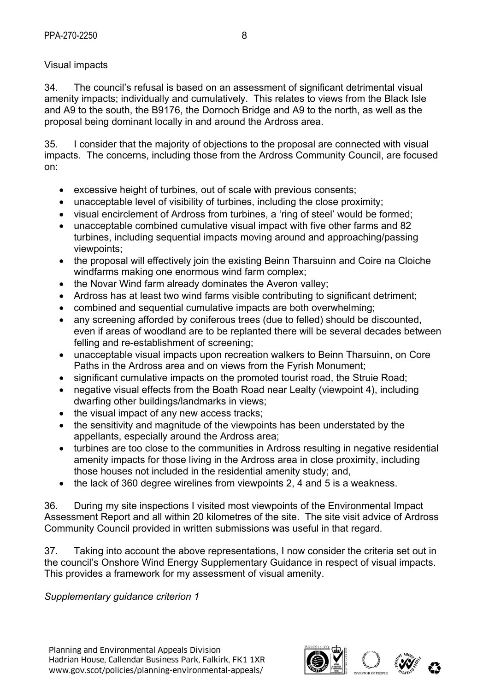# Visual impacts

34. The council's refusal is based on an assessment of significant detrimental visual amenity impacts; individually and cumulatively. This relates to views from the Black Isle and A9 to the south, the B9176, the Dornoch Bridge and A9 to the north, as well as the proposal being dominant locally in and around the Ardross area.

35. I consider that the majority of objections to the proposal are connected with visual impacts. The concerns, including those from the Ardross Community Council, are focused on:

- excessive height of turbines, out of scale with previous consents;
- unacceptable level of visibility of turbines, including the close proximity;
- visual encirclement of Ardross from turbines, a 'ring of steel' would be formed;
- unacceptable combined cumulative visual impact with five other farms and 82 turbines, including sequential impacts moving around and approaching/passing viewpoints;
- the proposal will effectively join the existing Beinn Tharsuinn and Coire na Cloiche windfarms making one enormous wind farm complex;
- the Novar Wind farm already dominates the Averon valley;
- Ardross has at least two wind farms visible contributing to significant detriment;
- combined and sequential cumulative impacts are both overwhelming;
- any screening afforded by coniferous trees (due to felled) should be discounted, even if areas of woodland are to be replanted there will be several decades between felling and re-establishment of screening;
- unacceptable visual impacts upon recreation walkers to Beinn Tharsuinn, on Core Paths in the Ardross area and on views from the Fyrish Monument;
- significant cumulative impacts on the promoted tourist road, the Struie Road;
- negative visual effects from the Boath Road near Lealty (viewpoint 4), including dwarfing other buildings/landmarks in views;
- the visual impact of any new access tracks;
- the sensitivity and magnitude of the viewpoints has been understated by the appellants, especially around the Ardross area;
- turbines are too close to the communities in Ardross resulting in negative residential amenity impacts for those living in the Ardross area in close proximity, including those houses not included in the residential amenity study; and,
- the lack of 360 degree wirelines from viewpoints 2, 4 and 5 is a weakness.

36. During my site inspections I visited most viewpoints of the Environmental Impact Assessment Report and all within 20 kilometres of the site. The site visit advice of Ardross Community Council provided in written submissions was useful in that regard.

37. Taking into account the above representations, I now consider the criteria set out in the council's Onshore Wind Energy Supplementary Guidance in respect of visual impacts. This provides a framework for my assessment of visual amenity.

*Supplementary guidance criterion 1* 

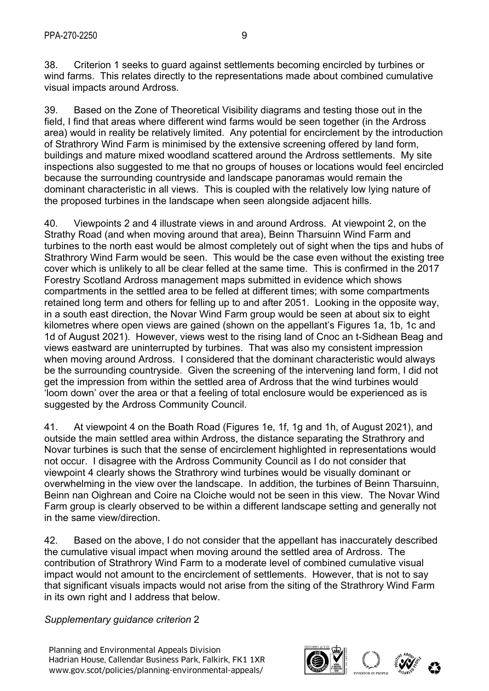38. Criterion 1 seeks to guard against settlements becoming encircled by turbines or wind farms. This relates directly to the representations made about combined cumulative visual impacts around Ardross.

39. Based on the Zone of Theoretical Visibility diagrams and testing those out in the field, I find that areas where different wind farms would be seen together (in the Ardross area) would in reality be relatively limited. Any potential for encirclement by the introduction of Strathrory Wind Farm is minimised by the extensive screening offered by land form, buildings and mature mixed woodland scattered around the Ardross settlements. My site inspections also suggested to me that no groups of houses or locations would feel encircled because the surrounding countryside and landscape panoramas would remain the dominant characteristic in all views. This is coupled with the relatively low lying nature of the proposed turbines in the landscape when seen alongside adjacent hills.

40. Viewpoints 2 and 4 illustrate views in and around Ardross. At viewpoint 2, on the Strathy Road (and when moving around that area), Beinn Tharsuinn Wind Farm and turbines to the north east would be almost completely out of sight when the tips and hubs of Strathrory Wind Farm would be seen. This would be the case even without the existing tree cover which is unlikely to all be clear felled at the same time. This is confirmed in the 2017 Forestry Scotland Ardross management maps submitted in evidence which shows compartments in the settled area to be felled at different times; with some compartments retained long term and others for felling up to and after 2051. Looking in the opposite way, in a south east direction, the Novar Wind Farm group would be seen at about six to eight kilometres where open views are gained (shown on the appellant's Figures 1a, 1b, 1c and 1d of August 2021). However, views west to the rising land of Cnoc an t-Sidhean Beag and views eastward are uninterrupted by turbines. That was also my consistent impression when moving around Ardross. I considered that the dominant characteristic would always be the surrounding countryside. Given the screening of the intervening land form, I did not get the impression from within the settled area of Ardross that the wind turbines would 'loom down' over the area or that a feeling of total enclosure would be experienced as is suggested by the Ardross Community Council.

41. At viewpoint 4 on the Boath Road (Figures 1e, 1f, 1g and 1h, of August 2021), and outside the main settled area within Ardross, the distance separating the Strathrory and Novar turbines is such that the sense of encirclement highlighted in representations would not occur. I disagree with the Ardross Community Council as I do not consider that viewpoint 4 clearly shows the Strathrory wind turbines would be visually dominant or overwhelming in the view over the landscape. In addition, the turbines of Beinn Tharsuinn, Beinn nan Oighrean and Coire na Cloiche would not be seen in this view. The Novar Wind Farm group is clearly observed to be within a different landscape setting and generally not in the same view/direction.

42. Based on the above, I do not consider that the appellant has inaccurately described the cumulative visual impact when moving around the settled area of Ardross. The contribution of Strathrory Wind Farm to a moderate level of combined cumulative visual impact would not amount to the encirclement of settlements. However, that is not to say that significant visuals impacts would not arise from the siting of the Strathrory Wind Farm in its own right and I address that below.

*Supplementary guidance criterion* 2

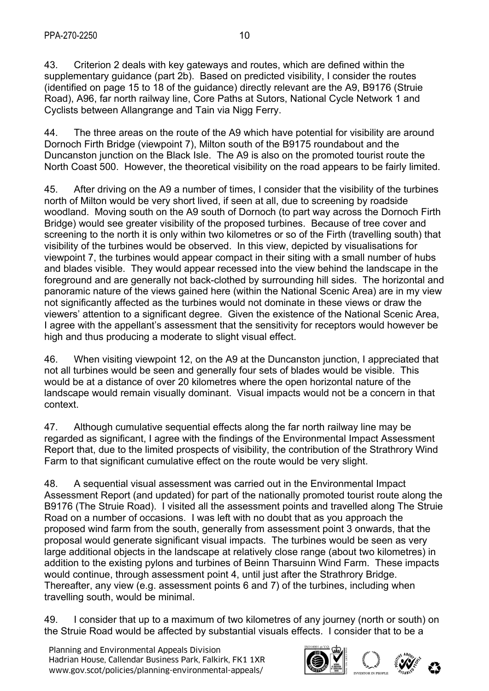43. Criterion 2 deals with key gateways and routes, which are defined within the supplementary guidance (part 2b). Based on predicted visibility, I consider the routes (identified on page 15 to 18 of the guidance) directly relevant are the A9, B9176 (Struie Road), A96, far north railway line, Core Paths at Sutors, National Cycle Network 1 and Cyclists between Allangrange and Tain via Nigg Ferry.

44. The three areas on the route of the A9 which have potential for visibility are around Dornoch Firth Bridge (viewpoint 7), Milton south of the B9175 roundabout and the Duncanston junction on the Black Isle. The A9 is also on the promoted tourist route the North Coast 500. However, the theoretical visibility on the road appears to be fairly limited.

45. After driving on the A9 a number of times, I consider that the visibility of the turbines north of Milton would be very short lived, if seen at all, due to screening by roadside woodland. Moving south on the A9 south of Dornoch (to part way across the Dornoch Firth Bridge) would see greater visibility of the proposed turbines. Because of tree cover and screening to the north it is only within two kilometres or so of the Firth (travelling south) that visibility of the turbines would be observed. In this view, depicted by visualisations for viewpoint 7, the turbines would appear compact in their siting with a small number of hubs and blades visible. They would appear recessed into the view behind the landscape in the foreground and are generally not back-clothed by surrounding hill sides. The horizontal and panoramic nature of the views gained here (within the National Scenic Area) are in my view not significantly affected as the turbines would not dominate in these views or draw the viewers' attention to a significant degree. Given the existence of the National Scenic Area, I agree with the appellant's assessment that the sensitivity for receptors would however be high and thus producing a moderate to slight visual effect.

46. When visiting viewpoint 12, on the A9 at the Duncanston junction, I appreciated that not all turbines would be seen and generally four sets of blades would be visible. This would be at a distance of over 20 kilometres where the open horizontal nature of the landscape would remain visually dominant. Visual impacts would not be a concern in that context.

47. Although cumulative sequential effects along the far north railway line may be regarded as significant, I agree with the findings of the Environmental Impact Assessment Report that, due to the limited prospects of visibility, the contribution of the Strathrory Wind Farm to that significant cumulative effect on the route would be very slight.

48. A sequential visual assessment was carried out in the Environmental Impact Assessment Report (and updated) for part of the nationally promoted tourist route along the B9176 (The Struie Road). I visited all the assessment points and travelled along The Struie Road on a number of occasions. I was left with no doubt that as you approach the proposed wind farm from the south, generally from assessment point 3 onwards, that the proposal would generate significant visual impacts. The turbines would be seen as very large additional objects in the landscape at relatively close range (about two kilometres) in addition to the existing pylons and turbines of Beinn Tharsuinn Wind Farm. These impacts would continue, through assessment point 4, until just after the Strathrory Bridge. Thereafter, any view (e.g. assessment points 6 and 7) of the turbines, including when travelling south, would be minimal.

49. I consider that up to a maximum of two kilometres of any journey (north or south) on the Struie Road would be affected by substantial visuals effects. I consider that to be a

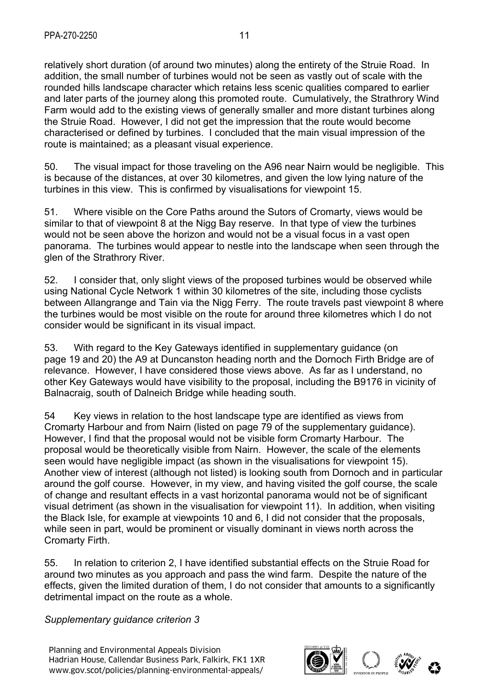relatively short duration (of around two minutes) along the entirety of the Struie Road. In addition, the small number of turbines would not be seen as vastly out of scale with the rounded hills landscape character which retains less scenic qualities compared to earlier and later parts of the journey along this promoted route. Cumulatively, the Strathrory Wind Farm would add to the existing views of generally smaller and more distant turbines along the Struie Road. However, I did not get the impression that the route would become characterised or defined by turbines. I concluded that the main visual impression of the route is maintained; as a pleasant visual experience.

50. The visual impact for those traveling on the A96 near Nairn would be negligible. This is because of the distances, at over 30 kilometres, and given the low lying nature of the turbines in this view. This is confirmed by visualisations for viewpoint 15.

51. Where visible on the Core Paths around the Sutors of Cromarty, views would be similar to that of viewpoint 8 at the Nigg Bay reserve. In that type of view the turbines would not be seen above the horizon and would not be a visual focus in a vast open panorama. The turbines would appear to nestle into the landscape when seen through the glen of the Strathrory River.

52. I consider that, only slight views of the proposed turbines would be observed while using National Cycle Network 1 within 30 kilometres of the site, including those cyclists between Allangrange and Tain via the Nigg Ferry. The route travels past viewpoint 8 where the turbines would be most visible on the route for around three kilometres which I do not consider would be significant in its visual impact.

53. With regard to the Key Gateways identified in supplementary guidance (on page 19 and 20) the A9 at Duncanston heading north and the Dornoch Firth Bridge are of relevance. However, I have considered those views above. As far as I understand, no other Key Gateways would have visibility to the proposal, including the B9176 in vicinity of Balnacraig, south of Dalneich Bridge while heading south.

54 Key views in relation to the host landscape type are identified as views from Cromarty Harbour and from Nairn (listed on page 79 of the supplementary guidance). However, I find that the proposal would not be visible form Cromarty Harbour. The proposal would be theoretically visible from Nairn. However, the scale of the elements seen would have negligible impact (as shown in the visualisations for viewpoint 15). Another view of interest (although not listed) is looking south from Dornoch and in particular around the golf course. However, in my view, and having visited the golf course, the scale of change and resultant effects in a vast horizontal panorama would not be of significant visual detriment (as shown in the visualisation for viewpoint 11). In addition, when visiting the Black Isle, for example at viewpoints 10 and 6, I did not consider that the proposals, while seen in part, would be prominent or visually dominant in views north across the Cromarty Firth.

55. In relation to criterion 2, I have identified substantial effects on the Struie Road for around two minutes as you approach and pass the wind farm. Despite the nature of the effects, given the limited duration of them, I do not consider that amounts to a significantly detrimental impact on the route as a whole.

*Supplementary guidance criterion 3* 

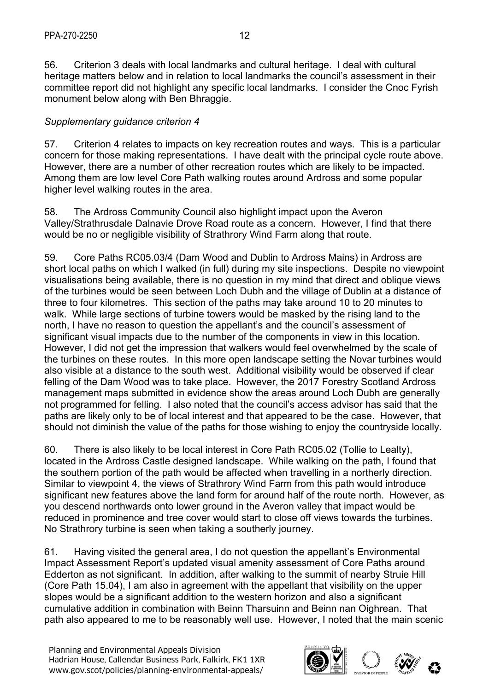56. Criterion 3 deals with local landmarks and cultural heritage. I deal with cultural heritage matters below and in relation to local landmarks the council's assessment in their committee report did not highlight any specific local landmarks. I consider the Cnoc Fyrish monument below along with Ben Bhraggie.

# *Supplementary guidance criterion 4*

57. Criterion 4 relates to impacts on key recreation routes and ways. This is a particular concern for those making representations. I have dealt with the principal cycle route above. However, there are a number of other recreation routes which are likely to be impacted. Among them are low level Core Path walking routes around Ardross and some popular higher level walking routes in the area.

58. The Ardross Community Council also highlight impact upon the Averon Valley/Strathrusdale Dalnavie Drove Road route as a concern. However, I find that there would be no or negligible visibility of Strathrory Wind Farm along that route.

59. Core Paths RC05.03/4 (Dam Wood and Dublin to Ardross Mains) in Ardross are short local paths on which I walked (in full) during my site inspections. Despite no viewpoint visualisations being available, there is no question in my mind that direct and oblique views of the turbines would be seen between Loch Dubh and the village of Dublin at a distance of three to four kilometres. This section of the paths may take around 10 to 20 minutes to walk. While large sections of turbine towers would be masked by the rising land to the north, I have no reason to question the appellant's and the council's assessment of significant visual impacts due to the number of the components in view in this location. However, I did not get the impression that walkers would feel overwhelmed by the scale of the turbines on these routes. In this more open landscape setting the Novar turbines would also visible at a distance to the south west. Additional visibility would be observed if clear felling of the Dam Wood was to take place. However, the 2017 Forestry Scotland Ardross management maps submitted in evidence show the areas around Loch Dubh are generally not programmed for felling. I also noted that the council's access advisor has said that the paths are likely only to be of local interest and that appeared to be the case. However, that should not diminish the value of the paths for those wishing to enjoy the countryside locally.

60. There is also likely to be local interest in Core Path RC05.02 (Tollie to Lealty), located in the Ardross Castle designed landscape. While walking on the path, I found that the southern portion of the path would be affected when travelling in a northerly direction. Similar to viewpoint 4, the views of Strathrory Wind Farm from this path would introduce significant new features above the land form for around half of the route north. However, as you descend northwards onto lower ground in the Averon valley that impact would be reduced in prominence and tree cover would start to close off views towards the turbines. No Strathrory turbine is seen when taking a southerly journey.

61. Having visited the general area, I do not question the appellant's Environmental Impact Assessment Report's updated visual amenity assessment of Core Paths around Edderton as not significant. In addition, after walking to the summit of nearby Struie Hill (Core Path 15.04), I am also in agreement with the appellant that visibility on the upper slopes would be a significant addition to the western horizon and also a significant cumulative addition in combination with Beinn Tharsuinn and Beinn nan Oighrean. That path also appeared to me to be reasonably well use. However, I noted that the main scenic

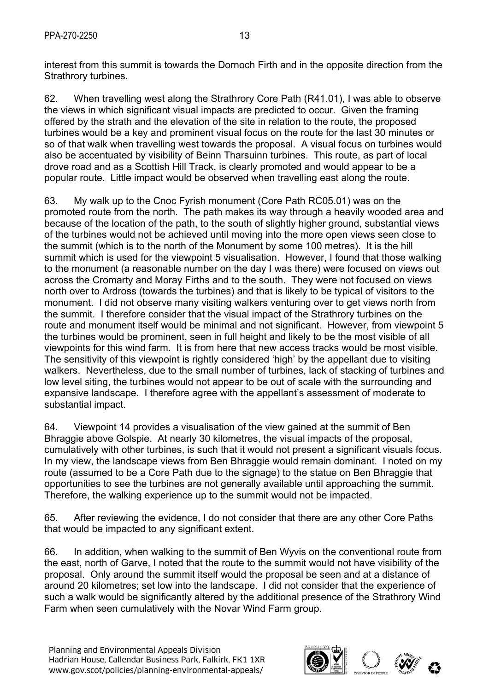interest from this summit is towards the Dornoch Firth and in the opposite direction from the Strathrory turbines.

62. When travelling west along the Strathrory Core Path (R41.01), I was able to observe the views in which significant visual impacts are predicted to occur. Given the framing offered by the strath and the elevation of the site in relation to the route, the proposed turbines would be a key and prominent visual focus on the route for the last 30 minutes or so of that walk when travelling west towards the proposal. A visual focus on turbines would also be accentuated by visibility of Beinn Tharsuinn turbines. This route, as part of local drove road and as a Scottish Hill Track, is clearly promoted and would appear to be a popular route. Little impact would be observed when travelling east along the route.

63. My walk up to the Cnoc Fyrish monument (Core Path RC05.01) was on the promoted route from the north. The path makes its way through a heavily wooded area and because of the location of the path, to the south of slightly higher ground, substantial views of the turbines would not be achieved until moving into the more open views seen close to the summit (which is to the north of the Monument by some 100 metres). It is the hill summit which is used for the viewpoint 5 visualisation. However, I found that those walking to the monument (a reasonable number on the day I was there) were focused on views out across the Cromarty and Moray Firths and to the south. They were not focused on views north over to Ardross (towards the turbines) and that is likely to be typical of visitors to the monument. I did not observe many visiting walkers venturing over to get views north from the summit. I therefore consider that the visual impact of the Strathrory turbines on the route and monument itself would be minimal and not significant. However, from viewpoint 5 the turbines would be prominent, seen in full height and likely to be the most visible of all viewpoints for this wind farm. It is from here that new access tracks would be most visible. The sensitivity of this viewpoint is rightly considered 'high' by the appellant due to visiting walkers. Nevertheless, due to the small number of turbines, lack of stacking of turbines and low level siting, the turbines would not appear to be out of scale with the surrounding and expansive landscape. I therefore agree with the appellant's assessment of moderate to substantial impact.

64. Viewpoint 14 provides a visualisation of the view gained at the summit of Ben Bhraggie above Golspie. At nearly 30 kilometres, the visual impacts of the proposal, cumulatively with other turbines, is such that it would not present a significant visuals focus. In my view, the landscape views from Ben Bhraggie would remain dominant. I noted on my route (assumed to be a Core Path due to the signage) to the statue on Ben Bhraggie that opportunities to see the turbines are not generally available until approaching the summit. Therefore, the walking experience up to the summit would not be impacted.

65. After reviewing the evidence, I do not consider that there are any other Core Paths that would be impacted to any significant extent.

66. In addition, when walking to the summit of Ben Wyvis on the conventional route from the east, north of Garve, I noted that the route to the summit would not have visibility of the proposal. Only around the summit itself would the proposal be seen and at a distance of around 20 kilometres; set low into the landscape. I did not consider that the experience of such a walk would be significantly altered by the additional presence of the Strathrory Wind Farm when seen cumulatively with the Novar Wind Farm group.

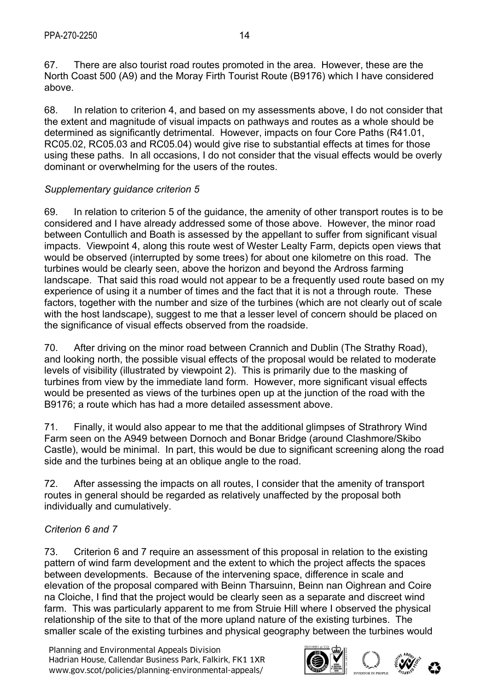67. There are also tourist road routes promoted in the area. However, these are the North Coast 500 (A9) and the Moray Firth Tourist Route (B9176) which I have considered above.

68. In relation to criterion 4, and based on my assessments above, I do not consider that the extent and magnitude of visual impacts on pathways and routes as a whole should be determined as significantly detrimental. However, impacts on four Core Paths (R41.01, RC05.02, RC05.03 and RC05.04) would give rise to substantial effects at times for those using these paths. In all occasions, I do not consider that the visual effects would be overly dominant or overwhelming for the users of the routes.

# *Supplementary guidance criterion 5*

69. In relation to criterion 5 of the guidance, the amenity of other transport routes is to be considered and I have already addressed some of those above. However, the minor road between Contullich and Boath is assessed by the appellant to suffer from significant visual impacts. Viewpoint 4, along this route west of Wester Lealty Farm, depicts open views that would be observed (interrupted by some trees) for about one kilometre on this road. The turbines would be clearly seen, above the horizon and beyond the Ardross farming landscape. That said this road would not appear to be a frequently used route based on my experience of using it a number of times and the fact that it is not a through route. These factors, together with the number and size of the turbines (which are not clearly out of scale with the host landscape), suggest to me that a lesser level of concern should be placed on the significance of visual effects observed from the roadside.

70. After driving on the minor road between Crannich and Dublin (The Strathy Road), and looking north, the possible visual effects of the proposal would be related to moderate levels of visibility (illustrated by viewpoint 2). This is primarily due to the masking of turbines from view by the immediate land form. However, more significant visual effects would be presented as views of the turbines open up at the junction of the road with the B9176; a route which has had a more detailed assessment above.

71. Finally, it would also appear to me that the additional glimpses of Strathrory Wind Farm seen on the A949 between Dornoch and Bonar Bridge (around Clashmore/Skibo Castle), would be minimal. In part, this would be due to significant screening along the road side and the turbines being at an oblique angle to the road.

72. After assessing the impacts on all routes, I consider that the amenity of transport routes in general should be regarded as relatively unaffected by the proposal both individually and cumulatively.

# *Criterion 6 and 7*

73. Criterion 6 and 7 require an assessment of this proposal in relation to the existing pattern of wind farm development and the extent to which the project affects the spaces between developments. Because of the intervening space, difference in scale and elevation of the proposal compared with Beinn Tharsuinn, Beinn nan Oighrean and Coire na Cloiche, I find that the project would be clearly seen as a separate and discreet wind farm. This was particularly apparent to me from Struie Hill where I observed the physical relationship of the site to that of the more upland nature of the existing turbines. The smaller scale of the existing turbines and physical geography between the turbines would

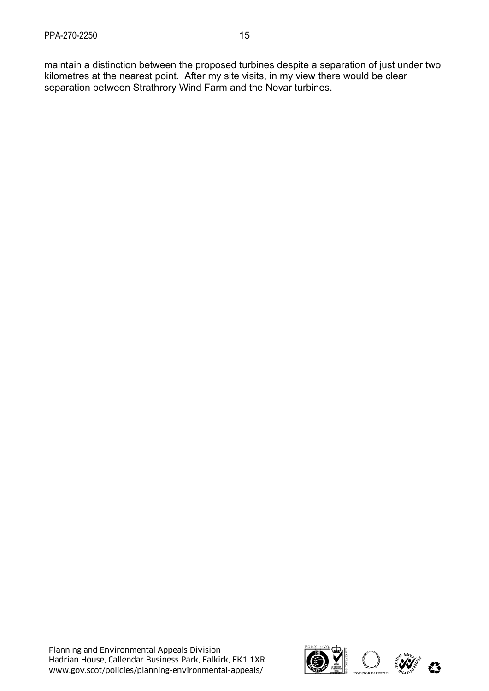maintain a distinction between the proposed turbines despite a separation of just under two kilometres at the nearest point. After my site visits, in my view there would be clear separation between Strathrory Wind Farm and the Novar turbines.

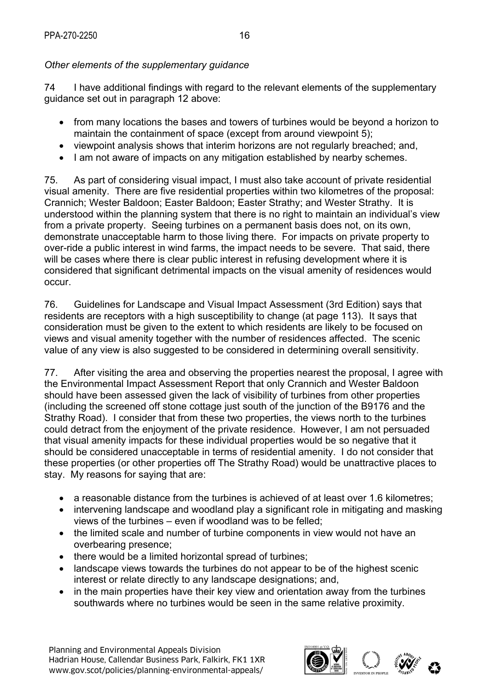# *Other elements of the supplementary guidance*

74 I have additional findings with regard to the relevant elements of the supplementary guidance set out in paragraph 12 above:

- from many locations the bases and towers of turbines would be beyond a horizon to maintain the containment of space (except from around viewpoint 5);
- viewpoint analysis shows that interim horizons are not regularly breached; and,
- I am not aware of impacts on any mitigation established by nearby schemes.

75. As part of considering visual impact, I must also take account of private residential visual amenity. There are five residential properties within two kilometres of the proposal: Crannich; Wester Baldoon; Easter Baldoon; Easter Strathy; and Wester Strathy. It is understood within the planning system that there is no right to maintain an individual's view from a private property. Seeing turbines on a permanent basis does not, on its own, demonstrate unacceptable harm to those living there. For impacts on private property to over-ride a public interest in wind farms, the impact needs to be severe. That said, there will be cases where there is clear public interest in refusing development where it is considered that significant detrimental impacts on the visual amenity of residences would occur.

76. Guidelines for Landscape and Visual Impact Assessment (3rd Edition) says that residents are receptors with a high susceptibility to change (at page 113). It says that consideration must be given to the extent to which residents are likely to be focused on views and visual amenity together with the number of residences affected. The scenic value of any view is also suggested to be considered in determining overall sensitivity.

77. After visiting the area and observing the properties nearest the proposal, I agree with the Environmental Impact Assessment Report that only Crannich and Wester Baldoon should have been assessed given the lack of visibility of turbines from other properties (including the screened off stone cottage just south of the junction of the B9176 and the Strathy Road). I consider that from these two properties, the views north to the turbines could detract from the enjoyment of the private residence. However, I am not persuaded that visual amenity impacts for these individual properties would be so negative that it should be considered unacceptable in terms of residential amenity. I do not consider that these properties (or other properties off The Strathy Road) would be unattractive places to stay. My reasons for saying that are:

- a reasonable distance from the turbines is achieved of at least over 1.6 kilometres;
- intervening landscape and woodland play a significant role in mitigating and masking views of the turbines – even if woodland was to be felled;
- the limited scale and number of turbine components in view would not have an overbearing presence;
- there would be a limited horizontal spread of turbines;
- landscape views towards the turbines do not appear to be of the highest scenic interest or relate directly to any landscape designations; and,
- in the main properties have their key view and orientation away from the turbines southwards where no turbines would be seen in the same relative proximity.

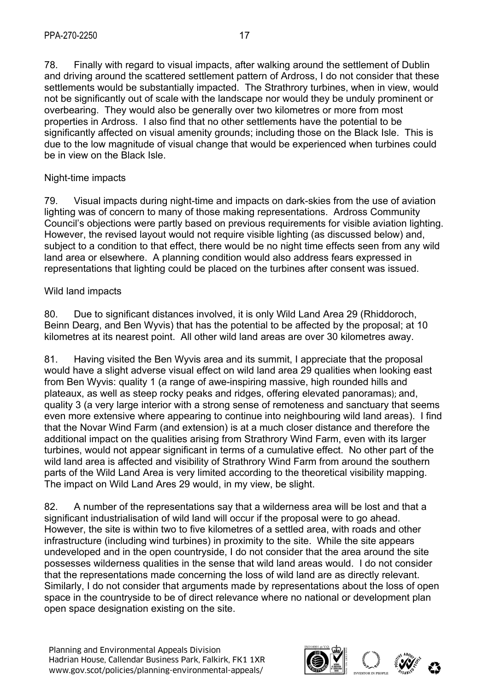78. Finally with regard to visual impacts, after walking around the settlement of Dublin and driving around the scattered settlement pattern of Ardross, I do not consider that these settlements would be substantially impacted. The Strathrory turbines, when in view, would not be significantly out of scale with the landscape nor would they be unduly prominent or overbearing. They would also be generally over two kilometres or more from most properties in Ardross. I also find that no other settlements have the potential to be significantly affected on visual amenity grounds; including those on the Black Isle. This is due to the low magnitude of visual change that would be experienced when turbines could be in view on the Black Isle.

#### Night-time impacts

79. Visual impacts during night-time and impacts on dark-skies from the use of aviation lighting was of concern to many of those making representations. Ardross Community Council's objections were partly based on previous requirements for visible aviation lighting. However, the revised layout would not require visible lighting (as discussed below) and, subject to a condition to that effect, there would be no night time effects seen from any wild land area or elsewhere. A planning condition would also address fears expressed in representations that lighting could be placed on the turbines after consent was issued.

#### Wild land impacts

80. Due to significant distances involved, it is only Wild Land Area 29 (Rhiddoroch, Beinn Dearg, and Ben Wyvis) that has the potential to be affected by the proposal; at 10 kilometres at its nearest point. All other wild land areas are over 30 kilometres away.

81. Having visited the Ben Wyvis area and its summit, I appreciate that the proposal would have a slight adverse visual effect on wild land area 29 qualities when looking east from Ben Wyvis: quality 1 (a range of awe-inspiring massive, high rounded hills and plateaux, as well as steep rocky peaks and ridges, offering elevated panoramas); and, quality 3 (a very large interior with a strong sense of remoteness and sanctuary that seems even more extensive where appearing to continue into neighbouring wild land areas). I find that the Novar Wind Farm (and extension) is at a much closer distance and therefore the additional impact on the qualities arising from Strathrory Wind Farm, even with its larger turbines, would not appear significant in terms of a cumulative effect. No other part of the wild land area is affected and visibility of Strathrory Wind Farm from around the southern parts of the Wild Land Area is very limited according to the theoretical visibility mapping. The impact on Wild Land Ares 29 would, in my view, be slight.

82. A number of the representations say that a wilderness area will be lost and that a significant industrialisation of wild land will occur if the proposal were to go ahead. However, the site is within two to five kilometres of a settled area, with roads and other infrastructure (including wind turbines) in proximity to the site. While the site appears undeveloped and in the open countryside, I do not consider that the area around the site possesses wilderness qualities in the sense that wild land areas would. I do not consider that the representations made concerning the loss of wild land are as directly relevant. Similarly, I do not consider that arguments made by representations about the loss of open space in the countryside to be of direct relevance where no national or development plan open space designation existing on the site.

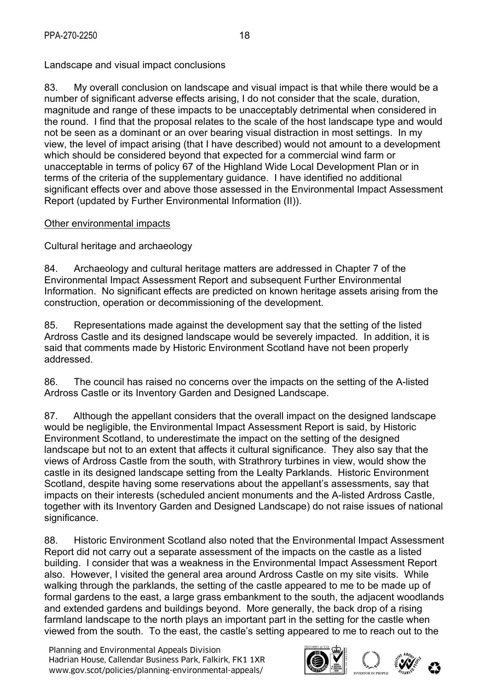Landscape and visual impact conclusions

83. My overall conclusion on landscape and visual impact is that while there would be a number of significant adverse effects arising, I do not consider that the scale, duration, magnitude and range of these impacts to be unacceptably detrimental when considered in the round. I find that the proposal relates to the scale of the host landscape type and would not be seen as a dominant or an over bearing visual distraction in most settings. In my view, the level of impact arising (that I have described) would not amount to a development which should be considered beyond that expected for a commercial wind farm or unacceptable in terms of policy 67 of the Highland Wide Local Development Plan or in terms of the criteria of the supplementary guidance. I have identified no additional significant effects over and above those assessed in the Environmental Impact Assessment Report (updated by Further Environmental Information (II)).

# Other environmental impacts

Cultural heritage and archaeology

84. Archaeology and cultural heritage matters are addressed in Chapter 7 of the Environmental Impact Assessment Report and subsequent Further Environmental Information. No significant effects are predicted on known heritage assets arising from the construction, operation or decommissioning of the development.

85. Representations made against the development say that the setting of the listed Ardross Castle and its designed landscape would be severely impacted. In addition, it is said that comments made by Historic Environment Scotland have not been properly addressed.

86. The council has raised no concerns over the impacts on the setting of the A-listed Ardross Castle or its Inventory Garden and Designed Landscape.

87. Although the appellant considers that the overall impact on the designed landscape would be negligible, the Environmental Impact Assessment Report is said, by Historic Environment Scotland, to underestimate the impact on the setting of the designed landscape but not to an extent that affects it cultural significance. They also say that the views of Ardross Castle from the south, with Strathrory turbines in view, would show the castle in its designed landscape setting from the Lealty Parklands. Historic Environment Scotland, despite having some reservations about the appellant's assessments, say that impacts on their interests (scheduled ancient monuments and the A-listed Ardross Castle, together with its Inventory Garden and Designed Landscape) do not raise issues of national significance.

88. Historic Environment Scotland also noted that the Environmental Impact Assessment Report did not carry out a separate assessment of the impacts on the castle as a listed building. I consider that was a weakness in the Environmental Impact Assessment Report also. However, I visited the general area around Ardross Castle on my site visits. While walking through the parklands, the setting of the castle appeared to me to be made up of formal gardens to the east, a large grass embankment to the south, the adjacent woodlands and extended gardens and buildings beyond. More generally, the back drop of a rising farmland landscape to the north plays an important part in the setting for the castle when viewed from the south. To the east, the castle's setting appeared to me to reach out to the

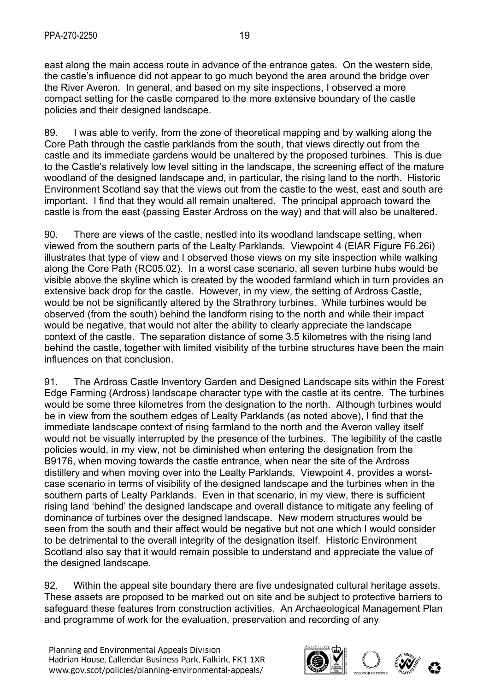89. I was able to verify, from the zone of theoretical mapping and by walking along the Core Path through the castle parklands from the south, that views directly out from the castle and its immediate gardens would be unaltered by the proposed turbines. This is due to the Castle's relatively low level sitting in the landscape, the screening effect of the mature woodland of the designed landscape and, in particular, the rising land to the north. Historic Environment Scotland say that the views out from the castle to the west, east and south are important. I find that they would all remain unaltered. The principal approach toward the castle is from the east (passing Easter Ardross on the way) and that will also be unaltered.

90. There are views of the castle, nestled into its woodland landscape setting, when viewed from the southern parts of the Lealty Parklands. Viewpoint 4 (EIAR Figure F6.26i) illustrates that type of view and I observed those views on my site inspection while walking along the Core Path (RC05.02). In a worst case scenario, all seven turbine hubs would be visible above the skyline which is created by the wooded farmland which in turn provides an extensive back drop for the castle. However, in my view, the setting of Ardross Castle, would be not be significantly altered by the Strathrory turbines. While turbines would be observed (from the south) behind the landform rising to the north and while their impact would be negative, that would not alter the ability to clearly appreciate the landscape context of the castle. The separation distance of some 3.5 kilometres with the rising land behind the castle, together with limited visibility of the turbine structures have been the main influences on that conclusion.

91. The Ardross Castle Inventory Garden and Designed Landscape sits within the Forest Edge Farming (Ardross) landscape character type with the castle at its centre. The turbines would be some three kilometres from the designation to the north. Although turbines would be in view from the southern edges of Lealty Parklands (as noted above), I find that the immediate landscape context of rising farmland to the north and the Averon valley itself would not be visually interrupted by the presence of the turbines. The legibility of the castle policies would, in my view, not be diminished when entering the designation from the B9176, when moving towards the castle entrance, when near the site of the Ardross distillery and when moving over into the Lealty Parklands. Viewpoint 4, provides a worstcase scenario in terms of visibility of the designed landscape and the turbines when in the southern parts of Lealty Parklands. Even in that scenario, in my view, there is sufficient rising land 'behind' the designed landscape and overall distance to mitigate any feeling of dominance of turbines over the designed landscape. New modern structures would be seen from the south and their affect would be negative but not one which I would consider to be detrimental to the overall integrity of the designation itself. Historic Environment Scotland also say that it would remain possible to understand and appreciate the value of the designed landscape.

92. Within the appeal site boundary there are five undesignated cultural heritage assets. These assets are proposed to be marked out on site and be subject to protective barriers to safeguard these features from construction activities. An Archaeological Management Plan and programme of work for the evaluation, preservation and recording of any

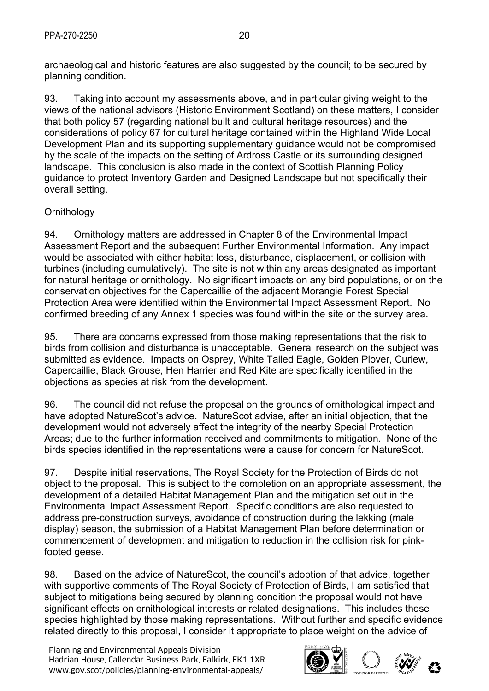archaeological and historic features are also suggested by the council; to be secured by planning condition.

93. Taking into account my assessments above, and in particular giving weight to the views of the national advisors (Historic Environment Scotland) on these matters, I consider that both policy 57 (regarding national built and cultural heritage resources) and the considerations of policy 67 for cultural heritage contained within the Highland Wide Local Development Plan and its supporting supplementary guidance would not be compromised by the scale of the impacts on the setting of Ardross Castle or its surrounding designed landscape. This conclusion is also made in the context of Scottish Planning Policy guidance to protect Inventory Garden and Designed Landscape but not specifically their overall setting.

# **Ornithology**

94. Ornithology matters are addressed in Chapter 8 of the Environmental Impact Assessment Report and the subsequent Further Environmental Information. Any impact would be associated with either habitat loss, disturbance, displacement, or collision with turbines (including cumulatively). The site is not within any areas designated as important for natural heritage or ornithology. No significant impacts on any bird populations, or on the conservation objectives for the Capercaillie of the adjacent Morangie Forest Special Protection Area were identified within the Environmental Impact Assessment Report. No confirmed breeding of any Annex 1 species was found within the site or the survey area.

95. There are concerns expressed from those making representations that the risk to birds from collision and disturbance is unacceptable. General research on the subject was submitted as evidence. Impacts on Osprey, White Tailed Eagle, Golden Plover, Curlew, Capercaillie, Black Grouse, Hen Harrier and Red Kite are specifically identified in the objections as species at risk from the development.

96. The council did not refuse the proposal on the grounds of ornithological impact and have adopted NatureScot's advice. NatureScot advise, after an initial objection, that the development would not adversely affect the integrity of the nearby Special Protection Areas; due to the further information received and commitments to mitigation. None of the birds species identified in the representations were a cause for concern for NatureScot.

97. Despite initial reservations, The Royal Society for the Protection of Birds do not object to the proposal. This is subject to the completion on an appropriate assessment, the development of a detailed Habitat Management Plan and the mitigation set out in the Environmental Impact Assessment Report. Specific conditions are also requested to address pre-construction surveys, avoidance of construction during the lekking (male display) season, the submission of a Habitat Management Plan before determination or commencement of development and mitigation to reduction in the collision risk for pinkfooted geese.

98. Based on the advice of NatureScot, the council's adoption of that advice, together with supportive comments of The Royal Society of Protection of Birds, I am satisfied that subject to mitigations being secured by planning condition the proposal would not have significant effects on ornithological interests or related designations. This includes those species highlighted by those making representations. Without further and specific evidence related directly to this proposal, I consider it appropriate to place weight on the advice of

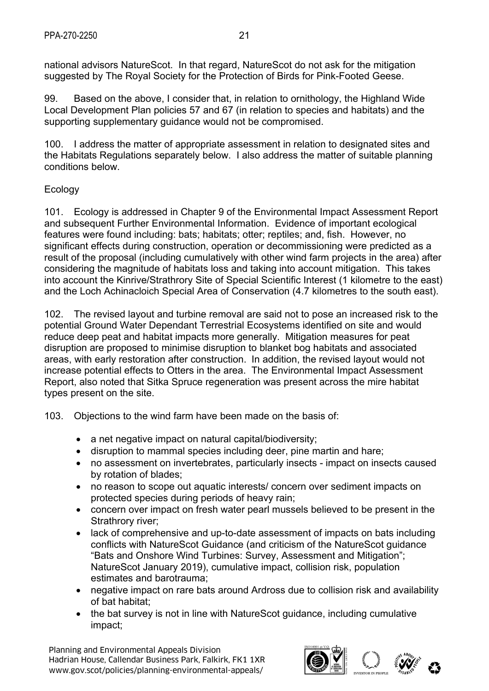national advisors NatureScot. In that regard, NatureScot do not ask for the mitigation suggested by The Royal Society for the Protection of Birds for Pink-Footed Geese.

99. Based on the above, I consider that, in relation to ornithology, the Highland Wide Local Development Plan policies 57 and 67 (in relation to species and habitats) and the supporting supplementary guidance would not be compromised.

100. I address the matter of appropriate assessment in relation to designated sites and the Habitats Regulations separately below. I also address the matter of suitable planning conditions below.

#### Ecology

101. Ecology is addressed in Chapter 9 of the Environmental Impact Assessment Report and subsequent Further Environmental Information. Evidence of important ecological features were found including: bats; habitats; otter; reptiles; and, fish. However, no significant effects during construction, operation or decommissioning were predicted as a result of the proposal (including cumulatively with other wind farm projects in the area) after considering the magnitude of habitats loss and taking into account mitigation. This takes into account the Kinrive/Strathrory Site of Special Scientific Interest (1 kilometre to the east) and the Loch Achinacloich Special Area of Conservation (4.7 kilometres to the south east).

102. The revised layout and turbine removal are said not to pose an increased risk to the potential Ground Water Dependant Terrestrial Ecosystems identified on site and would reduce deep peat and habitat impacts more generally. Mitigation measures for peat disruption are proposed to minimise disruption to blanket bog habitats and associated areas, with early restoration after construction. In addition, the revised layout would not increase potential effects to Otters in the area. The Environmental Impact Assessment Report, also noted that Sitka Spruce regeneration was present across the mire habitat types present on the site.

103. Objections to the wind farm have been made on the basis of:

- a net negative impact on natural capital/biodiversity;
- disruption to mammal species including deer, pine martin and hare;
- no assessment on invertebrates, particularly insects impact on insects caused by rotation of blades;
- no reason to scope out aquatic interests/ concern over sediment impacts on protected species during periods of heavy rain;
- concern over impact on fresh water pearl mussels believed to be present in the Strathrory river:
- lack of comprehensive and up-to-date assessment of impacts on bats including conflicts with NatureScot Guidance (and criticism of the NatureScot guidance "Bats and Onshore Wind Turbines: Survey, Assessment and Mitigation"; NatureScot January 2019), cumulative impact, collision risk, population estimates and barotrauma;
- negative impact on rare bats around Ardross due to collision risk and availability of bat habitat;
- the bat survey is not in line with NatureScot guidance, including cumulative impact;

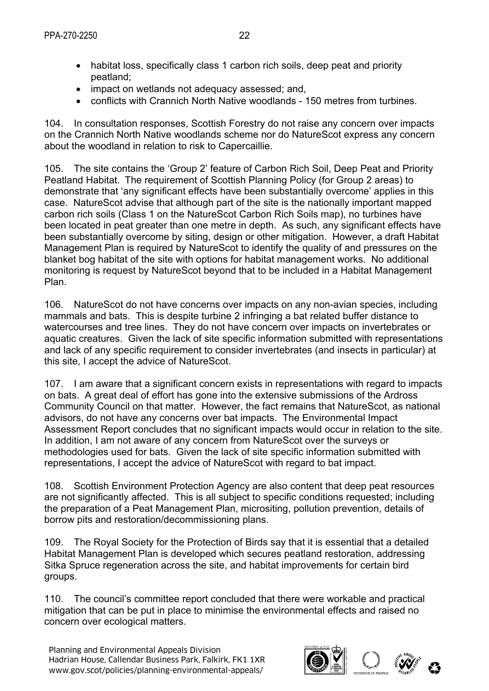- habitat loss, specifically class 1 carbon rich soils, deep peat and priority peatland;
- impact on wetlands not adequacy assessed; and,
- conflicts with Crannich North Native woodlands 150 metres from turbines.

104. In consultation responses, Scottish Forestry do not raise any concern over impacts on the Crannich North Native woodlands scheme nor do NatureScot express any concern about the woodland in relation to risk to Capercaillie.

105. The site contains the 'Group 2' feature of Carbon Rich Soil, Deep Peat and Priority Peatland Habitat. The requirement of Scottish Planning Policy (for Group 2 areas) to demonstrate that 'any significant effects have been substantially overcome' applies in this case. NatureScot advise that although part of the site is the nationally important mapped carbon rich soils (Class 1 on the NatureScot Carbon Rich Soils map), no turbines have been located in peat greater than one metre in depth. As such, any significant effects have been substantially overcome by siting, design or other mitigation. However, a draft Habitat Management Plan is required by NatureScot to identify the quality of and pressures on the blanket bog habitat of the site with options for habitat management works. No additional monitoring is request by NatureScot beyond that to be included in a Habitat Management Plan.

106. NatureScot do not have concerns over impacts on any non-avian species, including mammals and bats. This is despite turbine 2 infringing a bat related buffer distance to watercourses and tree lines. They do not have concern over impacts on invertebrates or aquatic creatures. Given the lack of site specific information submitted with representations and lack of any specific requirement to consider invertebrates (and insects in particular) at this site, I accept the advice of NatureScot.

107. I am aware that a significant concern exists in representations with regard to impacts on bats. A great deal of effort has gone into the extensive submissions of the Ardross Community Council on that matter. However, the fact remains that NatureScot, as national advisors, do not have any concerns over bat impacts. The Environmental Impact Assessment Report concludes that no significant impacts would occur in relation to the site. In addition, I am not aware of any concern from NatureScot over the surveys or methodologies used for bats. Given the lack of site specific information submitted with representations, I accept the advice of NatureScot with regard to bat impact.

108. Scottish Environment Protection Agency are also content that deep peat resources are not significantly affected. This is all subject to specific conditions requested; including the preparation of a Peat Management Plan, micrositing, pollution prevention, details of borrow pits and restoration/decommissioning plans.

109. The Royal Society for the Protection of Birds say that it is essential that a detailed Habitat Management Plan is developed which secures peatland restoration, addressing Sitka Spruce regeneration across the site, and habitat improvements for certain bird groups.

110. The council's committee report concluded that there were workable and practical mitigation that can be put in place to minimise the environmental effects and raised no concern over ecological matters.

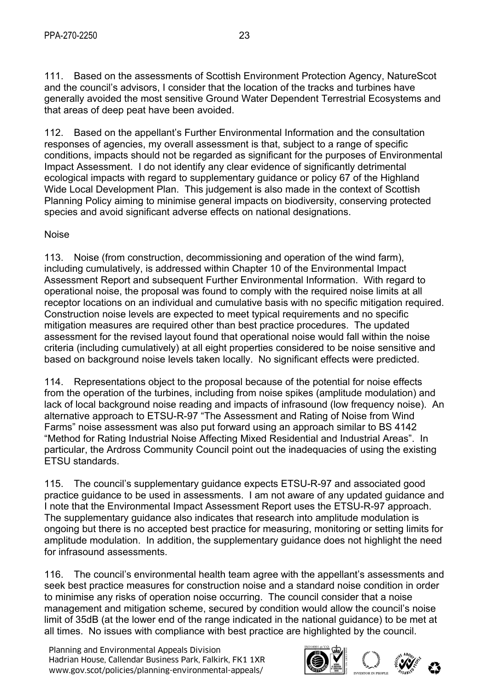111. Based on the assessments of Scottish Environment Protection Agency, NatureScot and the council's advisors, I consider that the location of the tracks and turbines have generally avoided the most sensitive Ground Water Dependent Terrestrial Ecosystems and that areas of deep peat have been avoided.

112. Based on the appellant's Further Environmental Information and the consultation responses of agencies, my overall assessment is that, subject to a range of specific conditions, impacts should not be regarded as significant for the purposes of Environmental Impact Assessment. I do not identify any clear evidence of significantly detrimental ecological impacts with regard to supplementary guidance or policy 67 of the Highland Wide Local Development Plan. This judgement is also made in the context of Scottish Planning Policy aiming to minimise general impacts on biodiversity, conserving protected species and avoid significant adverse effects on national designations.

## Noise

113. Noise (from construction, decommissioning and operation of the wind farm), including cumulatively, is addressed within Chapter 10 of the Environmental Impact Assessment Report and subsequent Further Environmental Information. With regard to operational noise, the proposal was found to comply with the required noise limits at all receptor locations on an individual and cumulative basis with no specific mitigation required. Construction noise levels are expected to meet typical requirements and no specific mitigation measures are required other than best practice procedures. The updated assessment for the revised layout found that operational noise would fall within the noise criteria (including cumulatively) at all eight properties considered to be noise sensitive and based on background noise levels taken locally. No significant effects were predicted.

114. Representations object to the proposal because of the potential for noise effects from the operation of the turbines, including from noise spikes (amplitude modulation) and lack of local background noise reading and impacts of infrasound (low frequency noise). An alternative approach to ETSU-R-97 "The Assessment and Rating of Noise from Wind Farms" noise assessment was also put forward using an approach similar to BS 4142 "Method for Rating Industrial Noise Affecting Mixed Residential and Industrial Areas". In particular, the Ardross Community Council point out the inadequacies of using the existing ETSU standards.

115. The council's supplementary guidance expects ETSU-R-97 and associated good practice guidance to be used in assessments. I am not aware of any updated guidance and I note that the Environmental Impact Assessment Report uses the ETSU-R-97 approach. The supplementary guidance also indicates that research into amplitude modulation is ongoing but there is no accepted best practice for measuring, monitoring or setting limits for amplitude modulation. In addition, the supplementary guidance does not highlight the need for infrasound assessments.

116. The council's environmental health team agree with the appellant's assessments and seek best practice measures for construction noise and a standard noise condition in order to minimise any risks of operation noise occurring. The council consider that a noise management and mitigation scheme, secured by condition would allow the council's noise limit of 35dB (at the lower end of the range indicated in the national guidance) to be met at all times. No issues with compliance with best practice are highlighted by the council.

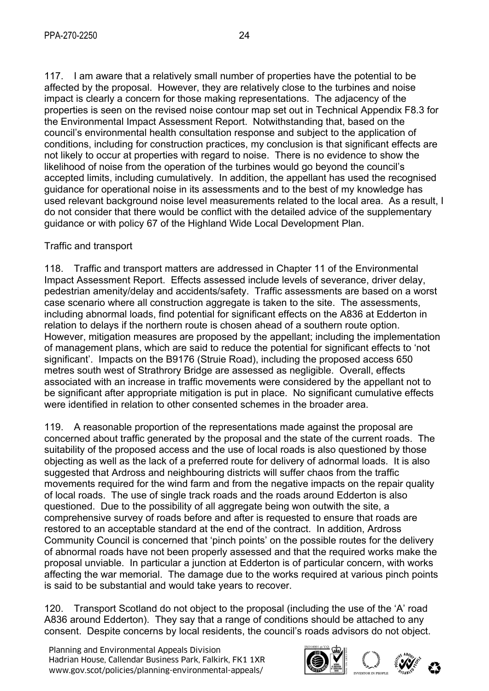117. I am aware that a relatively small number of properties have the potential to be affected by the proposal. However, they are relatively close to the turbines and noise impact is clearly a concern for those making representations. The adjacency of the properties is seen on the revised noise contour map set out in Technical Appendix F8.3 for the Environmental Impact Assessment Report. Notwithstanding that, based on the council's environmental health consultation response and subject to the application of conditions, including for construction practices, my conclusion is that significant effects are not likely to occur at properties with regard to noise. There is no evidence to show the likelihood of noise from the operation of the turbines would go beyond the council's accepted limits, including cumulatively. In addition, the appellant has used the recognised guidance for operational noise in its assessments and to the best of my knowledge has used relevant background noise level measurements related to the local area. As a result, I do not consider that there would be conflict with the detailed advice of the supplementary guidance or with policy 67 of the Highland Wide Local Development Plan.

## Traffic and transport

118. Traffic and transport matters are addressed in Chapter 11 of the Environmental Impact Assessment Report. Effects assessed include levels of severance, driver delay, pedestrian amenity/delay and accidents/safety. Traffic assessments are based on a worst case scenario where all construction aggregate is taken to the site. The assessments, including abnormal loads, find potential for significant effects on the A836 at Edderton in relation to delays if the northern route is chosen ahead of a southern route option. However, mitigation measures are proposed by the appellant; including the implementation of management plans, which are said to reduce the potential for significant effects to 'not significant'. Impacts on the B9176 (Struie Road), including the proposed access 650 metres south west of Strathrory Bridge are assessed as negligible. Overall, effects associated with an increase in traffic movements were considered by the appellant not to be significant after appropriate mitigation is put in place. No significant cumulative effects were identified in relation to other consented schemes in the broader area.

119. A reasonable proportion of the representations made against the proposal are concerned about traffic generated by the proposal and the state of the current roads. The suitability of the proposed access and the use of local roads is also questioned by those objecting as well as the lack of a preferred route for delivery of adnormal loads. It is also suggested that Ardross and neighbouring districts will suffer chaos from the traffic movements required for the wind farm and from the negative impacts on the repair quality of local roads. The use of single track roads and the roads around Edderton is also questioned. Due to the possibility of all aggregate being won outwith the site, a comprehensive survey of roads before and after is requested to ensure that roads are restored to an acceptable standard at the end of the contract. In addition, Ardross Community Council is concerned that 'pinch points' on the possible routes for the delivery of abnormal roads have not been properly assessed and that the required works make the proposal unviable. In particular a junction at Edderton is of particular concern, with works affecting the war memorial. The damage due to the works required at various pinch points is said to be substantial and would take years to recover.

120. Transport Scotland do not object to the proposal (including the use of the 'A' road A836 around Edderton). They say that a range of conditions should be attached to any consent. Despite concerns by local residents, the council's roads advisors do not object.

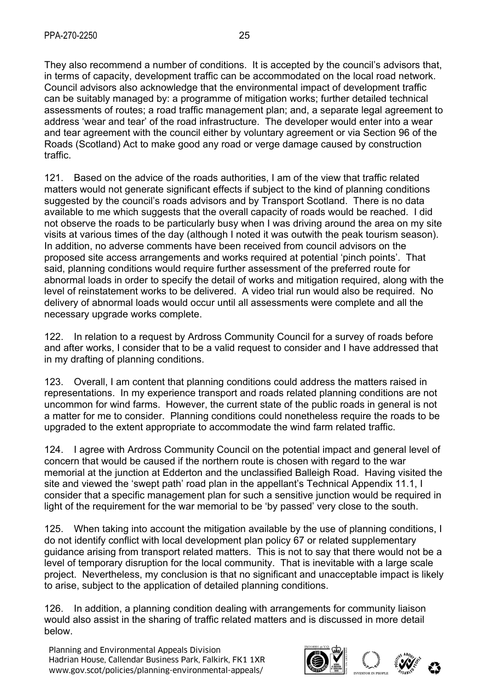assessments of routes; a road traffic management plan; and, a separate legal agreement to address 'wear and tear' of the road infrastructure. The developer would enter into a wear and tear agreement with the council either by voluntary agreement or via Section 96 of the Roads (Scotland) Act to make good any road or verge damage caused by construction traffic.

121. Based on the advice of the roads authorities, I am of the view that traffic related matters would not generate significant effects if subject to the kind of planning conditions suggested by the council's roads advisors and by Transport Scotland. There is no data available to me which suggests that the overall capacity of roads would be reached. I did not observe the roads to be particularly busy when I was driving around the area on my site visits at various times of the day (although I noted it was outwith the peak tourism season). In addition, no adverse comments have been received from council advisors on the proposed site access arrangements and works required at potential 'pinch points'. That said, planning conditions would require further assessment of the preferred route for abnormal loads in order to specify the detail of works and mitigation required, along with the level of reinstatement works to be delivered. A video trial run would also be required. No delivery of abnormal loads would occur until all assessments were complete and all the necessary upgrade works complete.

122. In relation to a request by Ardross Community Council for a survey of roads before and after works, I consider that to be a valid request to consider and I have addressed that in my drafting of planning conditions.

123. Overall, I am content that planning conditions could address the matters raised in representations. In my experience transport and roads related planning conditions are not uncommon for wind farms. However, the current state of the public roads in general is not a matter for me to consider. Planning conditions could nonetheless require the roads to be upgraded to the extent appropriate to accommodate the wind farm related traffic.

124. I agree with Ardross Community Council on the potential impact and general level of concern that would be caused if the northern route is chosen with regard to the war memorial at the junction at Edderton and the unclassified Balleigh Road. Having visited the site and viewed the 'swept path' road plan in the appellant's Technical Appendix 11.1, I consider that a specific management plan for such a sensitive junction would be required in light of the requirement for the war memorial to be 'by passed' very close to the south.

125. When taking into account the mitigation available by the use of planning conditions, I do not identify conflict with local development plan policy 67 or related supplementary guidance arising from transport related matters. This is not to say that there would not be a level of temporary disruption for the local community. That is inevitable with a large scale project. Nevertheless, my conclusion is that no significant and unacceptable impact is likely to arise, subject to the application of detailed planning conditions.

126. In addition, a planning condition dealing with arrangements for community liaison would also assist in the sharing of traffic related matters and is discussed in more detail below.

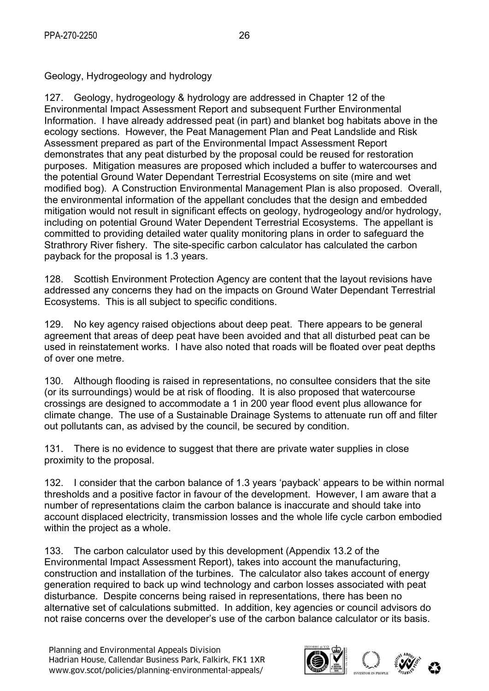Geology, Hydrogeology and hydrology

127. Geology, hydrogeology & hydrology are addressed in Chapter 12 of the Environmental Impact Assessment Report and subsequent Further Environmental Information. I have already addressed peat (in part) and blanket bog habitats above in the ecology sections. However, the Peat Management Plan and Peat Landslide and Risk Assessment prepared as part of the Environmental Impact Assessment Report demonstrates that any peat disturbed by the proposal could be reused for restoration purposes. Mitigation measures are proposed which included a buffer to watercourses and the potential Ground Water Dependant Terrestrial Ecosystems on site (mire and wet modified bog). A Construction Environmental Management Plan is also proposed. Overall, the environmental information of the appellant concludes that the design and embedded mitigation would not result in significant effects on geology, hydrogeology and/or hydrology, including on potential Ground Water Dependent Terrestrial Ecosystems. The appellant is committed to providing detailed water quality monitoring plans in order to safeguard the Strathrory River fishery. The site-specific carbon calculator has calculated the carbon payback for the proposal is 1.3 years.

128. Scottish Environment Protection Agency are content that the layout revisions have addressed any concerns they had on the impacts on Ground Water Dependant Terrestrial Ecosystems. This is all subject to specific conditions.

129. No key agency raised objections about deep peat. There appears to be general agreement that areas of deep peat have been avoided and that all disturbed peat can be used in reinstatement works. I have also noted that roads will be floated over peat depths of over one metre.

130. Although flooding is raised in representations, no consultee considers that the site (or its surroundings) would be at risk of flooding. It is also proposed that watercourse crossings are designed to accommodate a 1 in 200 year flood event plus allowance for climate change. The use of a Sustainable Drainage Systems to attenuate run off and filter out pollutants can, as advised by the council, be secured by condition.

131. There is no evidence to suggest that there are private water supplies in close proximity to the proposal.

132. I consider that the carbon balance of 1.3 years 'payback' appears to be within normal thresholds and a positive factor in favour of the development. However, I am aware that a number of representations claim the carbon balance is inaccurate and should take into account displaced electricity, transmission losses and the whole life cycle carbon embodied within the project as a whole.

133. The carbon calculator used by this development (Appendix 13.2 of the Environmental Impact Assessment Report), takes into account the manufacturing, construction and installation of the turbines. The calculator also takes account of energy generation required to back up wind technology and carbon losses associated with peat disturbance. Despite concerns being raised in representations, there has been no alternative set of calculations submitted. In addition, key agencies or council advisors do not raise concerns over the developer's use of the carbon balance calculator or its basis.

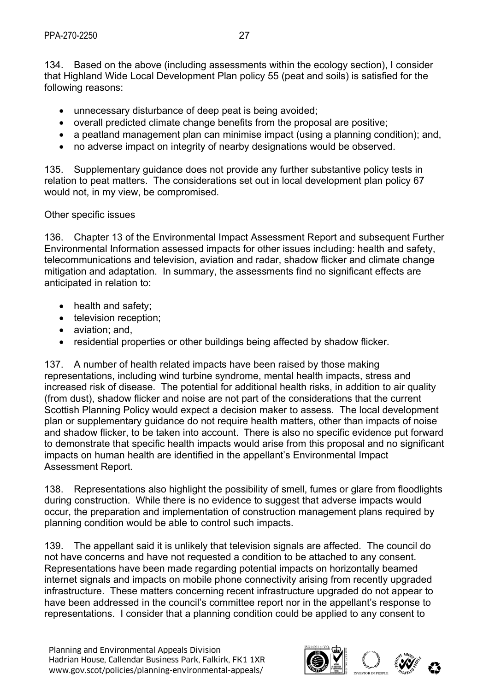134. Based on the above (including assessments within the ecology section), I consider that Highland Wide Local Development Plan policy 55 (peat and soils) is satisfied for the following reasons:

- unnecessary disturbance of deep peat is being avoided;
- overall predicted climate change benefits from the proposal are positive;
- a peatland management plan can minimise impact (using a planning condition); and,
- no adverse impact on integrity of nearby designations would be observed.

135. Supplementary guidance does not provide any further substantive policy tests in relation to peat matters. The considerations set out in local development plan policy 67 would not, in my view, be compromised.

#### Other specific issues

136. Chapter 13 of the Environmental Impact Assessment Report and subsequent Further Environmental Information assessed impacts for other issues including: health and safety, telecommunications and television, aviation and radar, shadow flicker and climate change mitigation and adaptation. In summary, the assessments find no significant effects are anticipated in relation to:

- health and safety;
- television reception;
- aviation: and,
- residential properties or other buildings being affected by shadow flicker.

137. A number of health related impacts have been raised by those making representations, including wind turbine syndrome, mental health impacts, stress and increased risk of disease. The potential for additional health risks, in addition to air quality (from dust), shadow flicker and noise are not part of the considerations that the current Scottish Planning Policy would expect a decision maker to assess. The local development plan or supplementary guidance do not require health matters, other than impacts of noise and shadow flicker, to be taken into account. There is also no specific evidence put forward to demonstrate that specific health impacts would arise from this proposal and no significant impacts on human health are identified in the appellant's Environmental Impact Assessment Report.

138. Representations also highlight the possibility of smell, fumes or glare from floodlights during construction. While there is no evidence to suggest that adverse impacts would occur, the preparation and implementation of construction management plans required by planning condition would be able to control such impacts.

139. The appellant said it is unlikely that television signals are affected. The council do not have concerns and have not requested a condition to be attached to any consent. Representations have been made regarding potential impacts on horizontally beamed internet signals and impacts on mobile phone connectivity arising from recently upgraded infrastructure. These matters concerning recent infrastructure upgraded do not appear to have been addressed in the council's committee report nor in the appellant's response to representations. I consider that a planning condition could be applied to any consent to

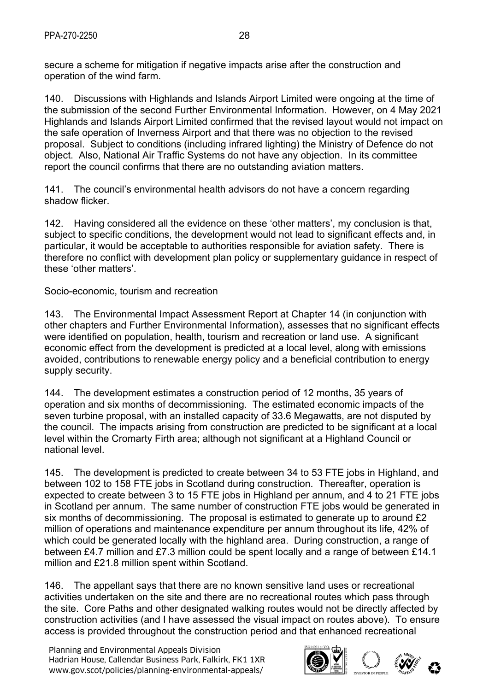secure a scheme for mitigation if negative impacts arise after the construction and operation of the wind farm.

140. Discussions with Highlands and Islands Airport Limited were ongoing at the time of the submission of the second Further Environmental Information. However, on 4 May 2021 Highlands and Islands Airport Limited confirmed that the revised layout would not impact on the safe operation of Inverness Airport and that there was no objection to the revised proposal. Subject to conditions (including infrared lighting) the Ministry of Defence do not object. Also, National Air Traffic Systems do not have any objection. In its committee report the council confirms that there are no outstanding aviation matters.

141. The council's environmental health advisors do not have a concern regarding shadow flicker.

142. Having considered all the evidence on these 'other matters', my conclusion is that, subject to specific conditions, the development would not lead to significant effects and, in particular, it would be acceptable to authorities responsible for aviation safety. There is therefore no conflict with development plan policy or supplementary guidance in respect of these 'other matters'.

Socio-economic, tourism and recreation

143. The Environmental Impact Assessment Report at Chapter 14 (in conjunction with other chapters and Further Environmental Information), assesses that no significant effects were identified on population, health, tourism and recreation or land use. A significant economic effect from the development is predicted at a local level, along with emissions avoided, contributions to renewable energy policy and a beneficial contribution to energy supply security.

144. The development estimates a construction period of 12 months, 35 years of operation and six months of decommissioning. The estimated economic impacts of the seven turbine proposal, with an installed capacity of 33.6 Megawatts, are not disputed by the council. The impacts arising from construction are predicted to be significant at a local level within the Cromarty Firth area; although not significant at a Highland Council or national level.

145. The development is predicted to create between 34 to 53 FTE jobs in Highland, and between 102 to 158 FTE jobs in Scotland during construction. Thereafter, operation is expected to create between 3 to 15 FTE jobs in Highland per annum, and 4 to 21 FTE jobs in Scotland per annum. The same number of construction FTE jobs would be generated in six months of decommissioning. The proposal is estimated to generate up to around £2 million of operations and maintenance expenditure per annum throughout its life, 42% of which could be generated locally with the highland area. During construction, a range of between £4.7 million and £7.3 million could be spent locally and a range of between £14.1 million and £21.8 million spent within Scotland.

146. The appellant says that there are no known sensitive land uses or recreational activities undertaken on the site and there are no recreational routes which pass through the site. Core Paths and other designated walking routes would not be directly affected by construction activities (and I have assessed the visual impact on routes above). To ensure access is provided throughout the construction period and that enhanced recreational

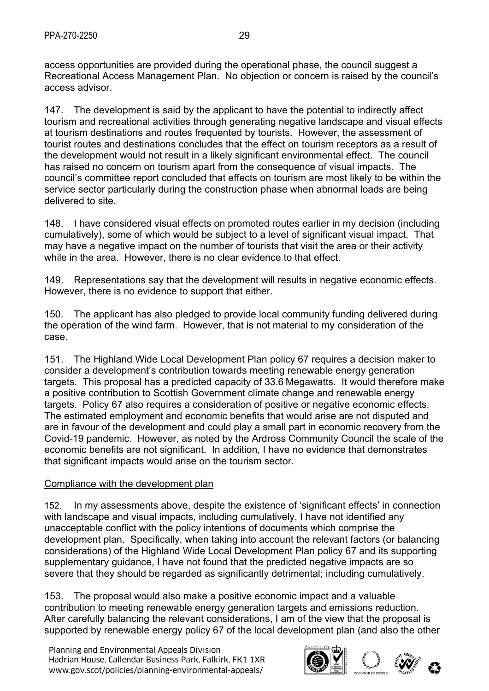access opportunities are provided during the operational phase, the council suggest a Recreational Access Management Plan. No objection or concern is raised by the council's access advisor.

147. The development is said by the applicant to have the potential to indirectly affect tourism and recreational activities through generating negative landscape and visual effects at tourism destinations and routes frequented by tourists. However, the assessment of tourist routes and destinations concludes that the effect on tourism receptors as a result of the development would not result in a likely significant environmental effect. The council has raised no concern on tourism apart from the consequence of visual impacts. The council's committee report concluded that effects on tourism are most likely to be within the service sector particularly during the construction phase when abnormal loads are being delivered to site.

148. I have considered visual effects on promoted routes earlier in my decision (including cumulatively), some of which would be subject to a level of significant visual impact. That may have a negative impact on the number of tourists that visit the area or their activity while in the area. However, there is no clear evidence to that effect.

149. Representations say that the development will results in negative economic effects. However, there is no evidence to support that either.

150. The applicant has also pledged to provide local community funding delivered during the operation of the wind farm. However, that is not material to my consideration of the case.

151. The Highland Wide Local Development Plan policy 67 requires a decision maker to consider a development's contribution towards meeting renewable energy generation targets. This proposal has a predicted capacity of 33.6 Megawatts. It would therefore make a positive contribution to Scottish Government climate change and renewable energy targets. Policy 67 also requires a consideration of positive or negative economic effects. The estimated employment and economic benefits that would arise are not disputed and are in favour of the development and could play a small part in economic recovery from the Covid-19 pandemic. However, as noted by the Ardross Community Council the scale of the economic benefits are not significant. In addition, I have no evidence that demonstrates that significant impacts would arise on the tourism sector.

#### Compliance with the development plan

152. In my assessments above, despite the existence of 'significant effects' in connection with landscape and visual impacts, including cumulatively, I have not identified any unacceptable conflict with the policy intentions of documents which comprise the development plan. Specifically, when taking into account the relevant factors (or balancing considerations) of the Highland Wide Local Development Plan policy 67 and its supporting supplementary guidance, I have not found that the predicted negative impacts are so severe that they should be regarded as significantly detrimental; including cumulatively.

153. The proposal would also make a positive economic impact and a valuable contribution to meeting renewable energy generation targets and emissions reduction. After carefully balancing the relevant considerations, I am of the view that the proposal is supported by renewable energy policy 67 of the local development plan (and also the other

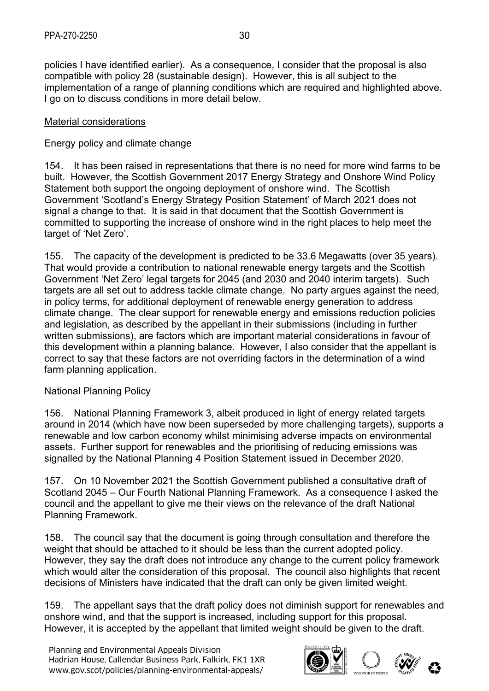policies I have identified earlier). As a consequence, I consider that the proposal is also compatible with policy 28 (sustainable design). However, this is all subject to the implementation of a range of planning conditions which are required and highlighted above. I go on to discuss conditions in more detail below.

#### Material considerations

#### Energy policy and climate change

154. It has been raised in representations that there is no need for more wind farms to be built. However, the Scottish Government 2017 Energy Strategy and Onshore Wind Policy Statement both support the ongoing deployment of onshore wind. The Scottish Government 'Scotland's Energy Strategy Position Statement' of March 2021 does not signal a change to that. It is said in that document that the Scottish Government is committed to supporting the increase of onshore wind in the right places to help meet the target of 'Net Zero'.

155. The capacity of the development is predicted to be 33.6 Megawatts (over 35 years). That would provide a contribution to national renewable energy targets and the Scottish Government 'Net Zero' legal targets for 2045 (and 2030 and 2040 interim targets). Such targets are all set out to address tackle climate change. No party argues against the need, in policy terms, for additional deployment of renewable energy generation to address climate change. The clear support for renewable energy and emissions reduction policies and legislation, as described by the appellant in their submissions (including in further written submissions), are factors which are important material considerations in favour of this development within a planning balance. However, I also consider that the appellant is correct to say that these factors are not overriding factors in the determination of a wind farm planning application.

## National Planning Policy

156. National Planning Framework 3, albeit produced in light of energy related targets around in 2014 (which have now been superseded by more challenging targets), supports a renewable and low carbon economy whilst minimising adverse impacts on environmental assets. Further support for renewables and the prioritising of reducing emissions was signalled by the National Planning 4 Position Statement issued in December 2020.

157. On 10 November 2021 the Scottish Government published a consultative draft of Scotland 2045 – Our Fourth National Planning Framework. As a consequence I asked the council and the appellant to give me their views on the relevance of the draft National Planning Framework.

158. The council say that the document is going through consultation and therefore the weight that should be attached to it should be less than the current adopted policy. However, they say the draft does not introduce any change to the current policy framework which would alter the consideration of this proposal. The council also highlights that recent decisions of Ministers have indicated that the draft can only be given limited weight.

159. The appellant says that the draft policy does not diminish support for renewables and onshore wind, and that the support is increased, including support for this proposal. However, it is accepted by the appellant that limited weight should be given to the draft.

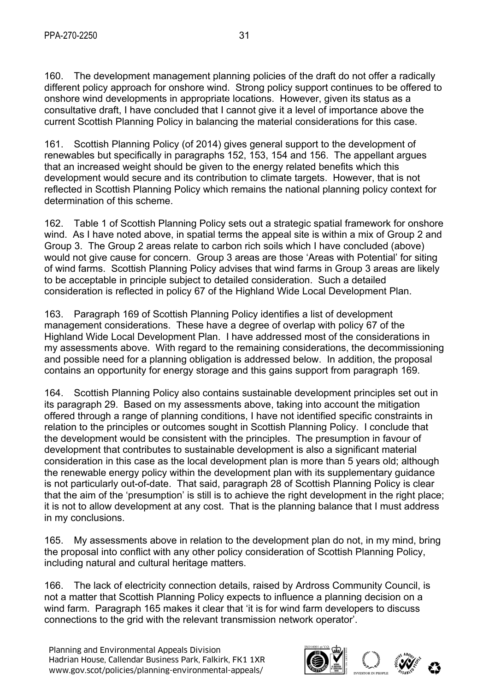160. The development management planning policies of the draft do not offer a radically different policy approach for onshore wind. Strong policy support continues to be offered to onshore wind developments in appropriate locations. However, given its status as a consultative draft, I have concluded that I cannot give it a level of importance above the current Scottish Planning Policy in balancing the material considerations for this case.

161. Scottish Planning Policy (of 2014) gives general support to the development of renewables but specifically in paragraphs 152, 153, 154 and 156. The appellant argues that an increased weight should be given to the energy related benefits which this development would secure and its contribution to climate targets. However, that is not reflected in Scottish Planning Policy which remains the national planning policy context for determination of this scheme.

162. Table 1 of Scottish Planning Policy sets out a strategic spatial framework for onshore wind. As I have noted above, in spatial terms the appeal site is within a mix of Group 2 and Group 3. The Group 2 areas relate to carbon rich soils which I have concluded (above) would not give cause for concern. Group 3 areas are those 'Areas with Potential' for siting of wind farms. Scottish Planning Policy advises that wind farms in Group 3 areas are likely to be acceptable in principle subject to detailed consideration. Such a detailed consideration is reflected in policy 67 of the Highland Wide Local Development Plan.

163. Paragraph 169 of Scottish Planning Policy identifies a list of development management considerations. These have a degree of overlap with policy 67 of the Highland Wide Local Development Plan. I have addressed most of the considerations in my assessments above. With regard to the remaining considerations, the decommissioning and possible need for a planning obligation is addressed below. In addition, the proposal contains an opportunity for energy storage and this gains support from paragraph 169.

164. Scottish Planning Policy also contains sustainable development principles set out in its paragraph 29. Based on my assessments above, taking into account the mitigation offered through a range of planning conditions, I have not identified specific constraints in relation to the principles or outcomes sought in Scottish Planning Policy. I conclude that the development would be consistent with the principles. The presumption in favour of development that contributes to sustainable development is also a significant material consideration in this case as the local development plan is more than 5 years old; although the renewable energy policy within the development plan with its supplementary guidance is not particularly out-of-date. That said, paragraph 28 of Scottish Planning Policy is clear that the aim of the 'presumption' is still is to achieve the right development in the right place; it is not to allow development at any cost. That is the planning balance that I must address in my conclusions.

165. My assessments above in relation to the development plan do not, in my mind, bring the proposal into conflict with any other policy consideration of Scottish Planning Policy, including natural and cultural heritage matters.

166. The lack of electricity connection details, raised by Ardross Community Council, is not a matter that Scottish Planning Policy expects to influence a planning decision on a wind farm. Paragraph 165 makes it clear that 'it is for wind farm developers to discuss connections to the grid with the relevant transmission network operator'.

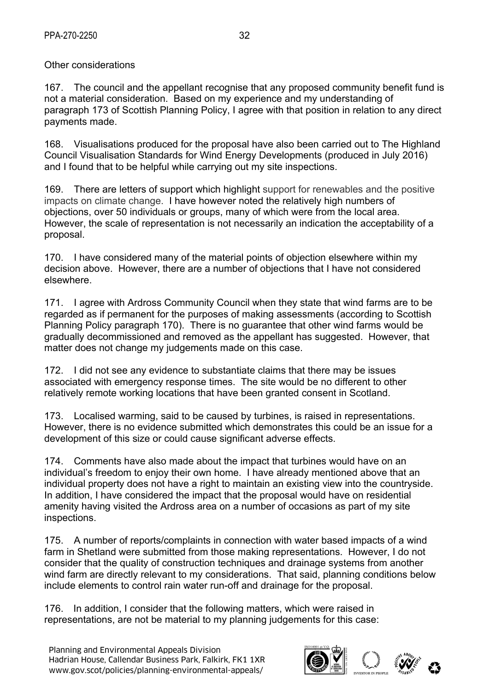#### Other considerations

167. The council and the appellant recognise that any proposed community benefit fund is not a material consideration. Based on my experience and my understanding of paragraph 173 of Scottish Planning Policy, I agree with that position in relation to any direct payments made.

168. Visualisations produced for the proposal have also been carried out to The Highland Council Visualisation Standards for Wind Energy Developments (produced in July 2016) and I found that to be helpful while carrying out my site inspections.

169. There are letters of support which highlight support for renewables and the positive impacts on climate change. I have however noted the relatively high numbers of objections, over 50 individuals or groups, many of which were from the local area. However, the scale of representation is not necessarily an indication the acceptability of a proposal.

170. I have considered many of the material points of objection elsewhere within my decision above. However, there are a number of objections that I have not considered elsewhere.

171. I agree with Ardross Community Council when they state that wind farms are to be regarded as if permanent for the purposes of making assessments (according to Scottish Planning Policy paragraph 170). There is no guarantee that other wind farms would be gradually decommissioned and removed as the appellant has suggested. However, that matter does not change my judgements made on this case.

172. I did not see any evidence to substantiate claims that there may be issues associated with emergency response times. The site would be no different to other relatively remote working locations that have been granted consent in Scotland.

173. Localised warming, said to be caused by turbines, is raised in representations. However, there is no evidence submitted which demonstrates this could be an issue for a development of this size or could cause significant adverse effects.

174. Comments have also made about the impact that turbines would have on an individual's freedom to enjoy their own home. I have already mentioned above that an individual property does not have a right to maintain an existing view into the countryside. In addition, I have considered the impact that the proposal would have on residential amenity having visited the Ardross area on a number of occasions as part of my site inspections.

175. A number of reports/complaints in connection with water based impacts of a wind farm in Shetland were submitted from those making representations. However, I do not consider that the quality of construction techniques and drainage systems from another wind farm are directly relevant to my considerations. That said, planning conditions below include elements to control rain water run-off and drainage for the proposal.

176. In addition, I consider that the following matters, which were raised in representations, are not be material to my planning judgements for this case:

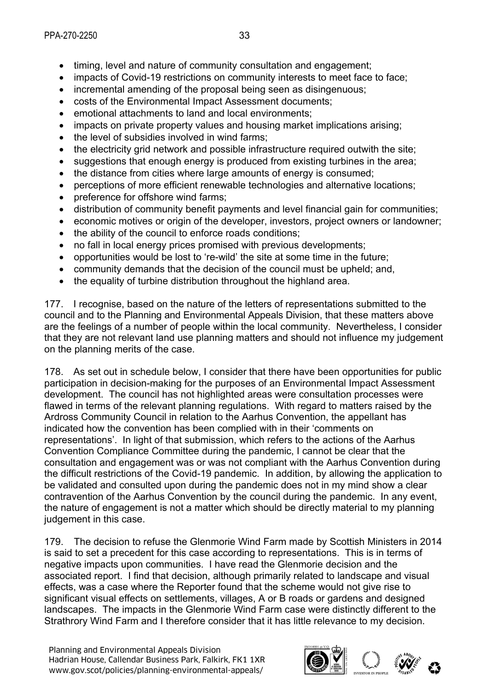- timing, level and nature of community consultation and engagement;
- impacts of Covid-19 restrictions on community interests to meet face to face;
- incremental amending of the proposal being seen as disingenuous;
- costs of the Environmental Impact Assessment documents;
- emotional attachments to land and local environments;
- impacts on private property values and housing market implications arising:
- the level of subsidies involved in wind farms;
- the electricity grid network and possible infrastructure required outwith the site:
- suggestions that enough energy is produced from existing turbines in the area;
- the distance from cities where large amounts of energy is consumed;
- perceptions of more efficient renewable technologies and alternative locations;
- preference for offshore wind farms:
- distribution of community benefit payments and level financial gain for communities;
- economic motives or origin of the developer, investors, project owners or landowner;
- the ability of the council to enforce roads conditions;
- no fall in local energy prices promised with previous developments;
- opportunities would be lost to 're-wild' the site at some time in the future;
- community demands that the decision of the council must be upheld; and,
- the equality of turbine distribution throughout the highland area.

177. I recognise, based on the nature of the letters of representations submitted to the council and to the Planning and Environmental Appeals Division, that these matters above are the feelings of a number of people within the local community. Nevertheless, I consider that they are not relevant land use planning matters and should not influence my judgement on the planning merits of the case.

178. As set out in schedule below, I consider that there have been opportunities for public participation in decision-making for the purposes of an Environmental Impact Assessment development. The council has not highlighted areas were consultation processes were flawed in terms of the relevant planning regulations. With regard to matters raised by the Ardross Community Council in relation to the Aarhus Convention, the appellant has indicated how the convention has been complied with in their 'comments on representations'. In light of that submission, which refers to the actions of the Aarhus Convention Compliance Committee during the pandemic, I cannot be clear that the consultation and engagement was or was not compliant with the Aarhus Convention during the difficult restrictions of the Covid-19 pandemic. In addition, by allowing the application to be validated and consulted upon during the pandemic does not in my mind show a clear contravention of the Aarhus Convention by the council during the pandemic. In any event, the nature of engagement is not a matter which should be directly material to my planning judgement in this case.

179. The decision to refuse the Glenmorie Wind Farm made by Scottish Ministers in 2014 is said to set a precedent for this case according to representations. This is in terms of negative impacts upon communities. I have read the Glenmorie decision and the associated report. I find that decision, although primarily related to landscape and visual effects, was a case where the Reporter found that the scheme would not give rise to significant visual effects on settlements, villages, A or B roads or gardens and designed landscapes. The impacts in the Glenmorie Wind Farm case were distinctly different to the Strathrory Wind Farm and I therefore consider that it has little relevance to my decision.

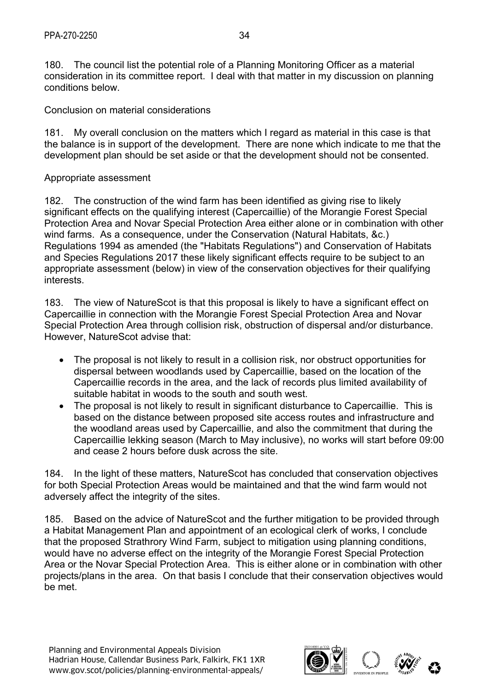180. The council list the potential role of a Planning Monitoring Officer as a material consideration in its committee report. I deal with that matter in my discussion on planning conditions below.

Conclusion on material considerations

181. My overall conclusion on the matters which I regard as material in this case is that the balance is in support of the development. There are none which indicate to me that the development plan should be set aside or that the development should not be consented.

#### Appropriate assessment

182. The construction of the wind farm has been identified as giving rise to likely significant effects on the qualifying interest (Capercaillie) of the Morangie Forest Special Protection Area and Novar Special Protection Area either alone or in combination with other wind farms. As a consequence, under the Conservation (Natural Habitats, &c.) Regulations 1994 as amended (the "Habitats Regulations") and Conservation of Habitats and Species Regulations 2017 these likely significant effects require to be subject to an appropriate assessment (below) in view of the conservation objectives for their qualifying interests.

183. The view of NatureScot is that this proposal is likely to have a significant effect on Capercaillie in connection with the Morangie Forest Special Protection Area and Novar Special Protection Area through collision risk, obstruction of dispersal and/or disturbance. However, NatureScot advise that:

- The proposal is not likely to result in a collision risk, nor obstruct opportunities for dispersal between woodlands used by Capercaillie, based on the location of the Capercaillie records in the area, and the lack of records plus limited availability of suitable habitat in woods to the south and south west.
- The proposal is not likely to result in significant disturbance to Capercaillie. This is based on the distance between proposed site access routes and infrastructure and the woodland areas used by Capercaillie, and also the commitment that during the Capercaillie lekking season (March to May inclusive), no works will start before 09:00 and cease 2 hours before dusk across the site.

184. In the light of these matters, NatureScot has concluded that conservation objectives for both Special Protection Areas would be maintained and that the wind farm would not adversely affect the integrity of the sites.

185. Based on the advice of NatureScot and the further mitigation to be provided through a Habitat Management Plan and appointment of an ecological clerk of works, I conclude that the proposed Strathrory Wind Farm, subject to mitigation using planning conditions, would have no adverse effect on the integrity of the Morangie Forest Special Protection Area or the Novar Special Protection Area. This is either alone or in combination with other projects/plans in the area. On that basis I conclude that their conservation objectives would be met.

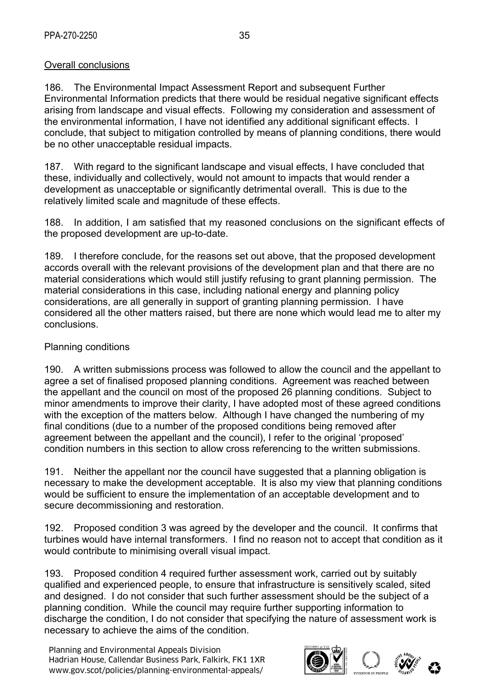#### Overall conclusions

186. The Environmental Impact Assessment Report and subsequent Further Environmental Information predicts that there would be residual negative significant effects arising from landscape and visual effects. Following my consideration and assessment of the environmental information, I have not identified any additional significant effects. I conclude, that subject to mitigation controlled by means of planning conditions, there would be no other unacceptable residual impacts.

187. With regard to the significant landscape and visual effects, I have concluded that these, individually and collectively, would not amount to impacts that would render a development as unacceptable or significantly detrimental overall. This is due to the relatively limited scale and magnitude of these effects.

188. In addition, I am satisfied that my reasoned conclusions on the significant effects of the proposed development are up-to-date.

189. I therefore conclude, for the reasons set out above, that the proposed development accords overall with the relevant provisions of the development plan and that there are no material considerations which would still justify refusing to grant planning permission. The material considerations in this case, including national energy and planning policy considerations, are all generally in support of granting planning permission. I have considered all the other matters raised, but there are none which would lead me to alter my conclusions.

#### Planning conditions

190. A written submissions process was followed to allow the council and the appellant to agree a set of finalised proposed planning conditions. Agreement was reached between the appellant and the council on most of the proposed 26 planning conditions. Subject to minor amendments to improve their clarity, I have adopted most of these agreed conditions with the exception of the matters below. Although I have changed the numbering of my final conditions (due to a number of the proposed conditions being removed after agreement between the appellant and the council), I refer to the original 'proposed' condition numbers in this section to allow cross referencing to the written submissions.

191. Neither the appellant nor the council have suggested that a planning obligation is necessary to make the development acceptable. It is also my view that planning conditions would be sufficient to ensure the implementation of an acceptable development and to secure decommissioning and restoration.

192. Proposed condition 3 was agreed by the developer and the council. It confirms that turbines would have internal transformers. I find no reason not to accept that condition as it would contribute to minimising overall visual impact.

193. Proposed condition 4 required further assessment work, carried out by suitably qualified and experienced people, to ensure that infrastructure is sensitively scaled, sited and designed. I do not consider that such further assessment should be the subject of a planning condition. While the council may require further supporting information to discharge the condition, I do not consider that specifying the nature of assessment work is necessary to achieve the aims of the condition.

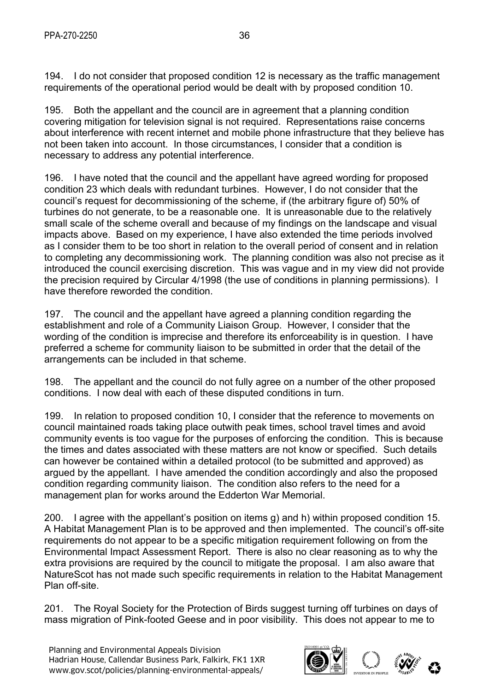194. I do not consider that proposed condition 12 is necessary as the traffic management requirements of the operational period would be dealt with by proposed condition 10.

195. Both the appellant and the council are in agreement that a planning condition covering mitigation for television signal is not required. Representations raise concerns about interference with recent internet and mobile phone infrastructure that they believe has not been taken into account. In those circumstances, I consider that a condition is necessary to address any potential interference.

196. I have noted that the council and the appellant have agreed wording for proposed condition 23 which deals with redundant turbines. However, I do not consider that the council's request for decommissioning of the scheme, if (the arbitrary figure of) 50% of turbines do not generate, to be a reasonable one. It is unreasonable due to the relatively small scale of the scheme overall and because of my findings on the landscape and visual impacts above. Based on my experience, I have also extended the time periods involved as I consider them to be too short in relation to the overall period of consent and in relation to completing any decommissioning work. The planning condition was also not precise as it introduced the council exercising discretion. This was vague and in my view did not provide the precision required by Circular 4/1998 (the use of conditions in planning permissions). I have therefore reworded the condition.

197. The council and the appellant have agreed a planning condition regarding the establishment and role of a Community Liaison Group. However, I consider that the wording of the condition is imprecise and therefore its enforceability is in question. I have preferred a scheme for community liaison to be submitted in order that the detail of the arrangements can be included in that scheme.

198. The appellant and the council do not fully agree on a number of the other proposed conditions. I now deal with each of these disputed conditions in turn.

199. In relation to proposed condition 10, I consider that the reference to movements on council maintained roads taking place outwith peak times, school travel times and avoid community events is too vague for the purposes of enforcing the condition. This is because the times and dates associated with these matters are not know or specified. Such details can however be contained within a detailed protocol (to be submitted and approved) as argued by the appellant. I have amended the condition accordingly and also the proposed condition regarding community liaison. The condition also refers to the need for a management plan for works around the Edderton War Memorial.

200. I agree with the appellant's position on items g) and h) within proposed condition 15. A Habitat Management Plan is to be approved and then implemented. The council's off-site requirements do not appear to be a specific mitigation requirement following on from the Environmental Impact Assessment Report. There is also no clear reasoning as to why the extra provisions are required by the council to mitigate the proposal. I am also aware that NatureScot has not made such specific requirements in relation to the Habitat Management Plan off-site.

201. The Royal Society for the Protection of Birds suggest turning off turbines on days of mass migration of Pink-footed Geese and in poor visibility. This does not appear to me to

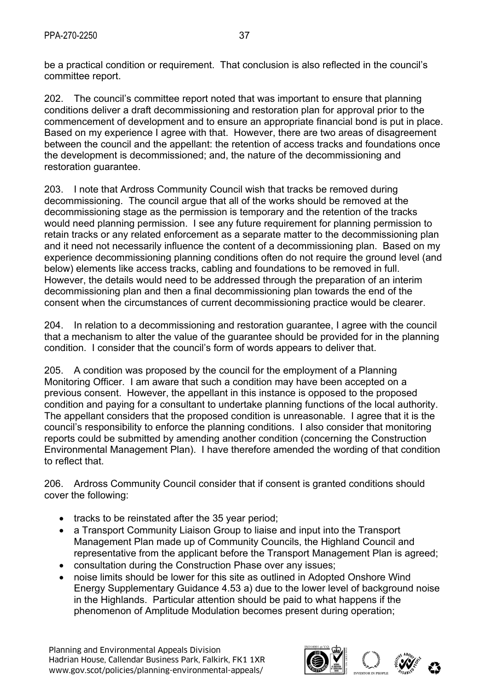be a practical condition or requirement. That conclusion is also reflected in the council's committee report.

202. The council's committee report noted that was important to ensure that planning conditions deliver a draft decommissioning and restoration plan for approval prior to the commencement of development and to ensure an appropriate financial bond is put in place. Based on my experience I agree with that. However, there are two areas of disagreement between the council and the appellant: the retention of access tracks and foundations once the development is decommissioned; and, the nature of the decommissioning and restoration guarantee.

203. I note that Ardross Community Council wish that tracks be removed during decommissioning. The council argue that all of the works should be removed at the decommissioning stage as the permission is temporary and the retention of the tracks would need planning permission. I see any future requirement for planning permission to retain tracks or any related enforcement as a separate matter to the decommissioning plan and it need not necessarily influence the content of a decommissioning plan. Based on my experience decommissioning planning conditions often do not require the ground level (and below) elements like access tracks, cabling and foundations to be removed in full. However, the details would need to be addressed through the preparation of an interim decommissioning plan and then a final decommissioning plan towards the end of the consent when the circumstances of current decommissioning practice would be clearer.

204. In relation to a decommissioning and restoration guarantee, I agree with the council that a mechanism to alter the value of the guarantee should be provided for in the planning condition. I consider that the council's form of words appears to deliver that.

205. A condition was proposed by the council for the employment of a Planning Monitoring Officer. I am aware that such a condition may have been accepted on a previous consent. However, the appellant in this instance is opposed to the proposed condition and paying for a consultant to undertake planning functions of the local authority. The appellant considers that the proposed condition is unreasonable. I agree that it is the council's responsibility to enforce the planning conditions. I also consider that monitoring reports could be submitted by amending another condition (concerning the Construction Environmental Management Plan). I have therefore amended the wording of that condition to reflect that.

206. Ardross Community Council consider that if consent is granted conditions should cover the following:

- $\bullet$  tracks to be reinstated after the 35 year period;
- a Transport Community Liaison Group to liaise and input into the Transport Management Plan made up of Community Councils, the Highland Council and representative from the applicant before the Transport Management Plan is agreed;
- consultation during the Construction Phase over any issues;
- noise limits should be lower for this site as outlined in Adopted Onshore Wind Energy Supplementary Guidance 4.53 a) due to the lower level of background noise in the Highlands. Particular attention should be paid to what happens if the phenomenon of Amplitude Modulation becomes present during operation;

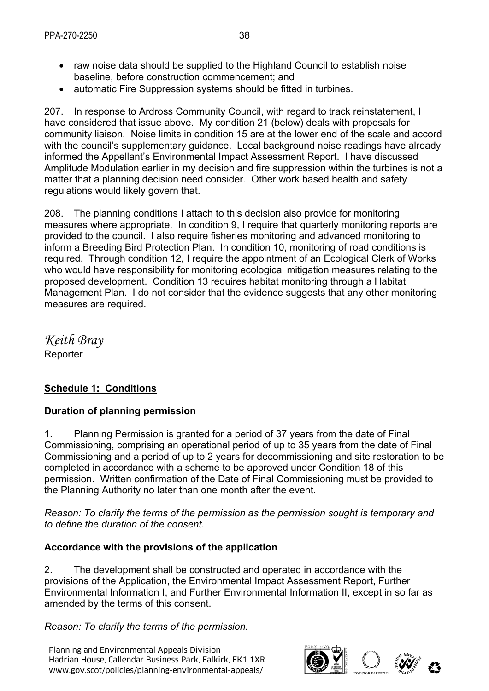- raw noise data should be supplied to the Highland Council to establish noise baseline, before construction commencement; and
- automatic Fire Suppression systems should be fitted in turbines.

207. In response to Ardross Community Council, with regard to track reinstatement, I have considered that issue above. My condition 21 (below) deals with proposals for community liaison. Noise limits in condition 15 are at the lower end of the scale and accord with the council's supplementary guidance. Local background noise readings have already informed the Appellant's Environmental Impact Assessment Report. I have discussed Amplitude Modulation earlier in my decision and fire suppression within the turbines is not a matter that a planning decision need consider. Other work based health and safety regulations would likely govern that.

208. The planning conditions I attach to this decision also provide for monitoring measures where appropriate. In condition 9, I require that quarterly monitoring reports are provided to the council. I also require fisheries monitoring and advanced monitoring to inform a Breeding Bird Protection Plan. In condition 10, monitoring of road conditions is required. Through condition 12, I require the appointment of an Ecological Clerk of Works who would have responsibility for monitoring ecological mitigation measures relating to the proposed development. Condition 13 requires habitat monitoring through a Habitat Management Plan. I do not consider that the evidence suggests that any other monitoring measures are required.

*Keith Bray*  Reporter

## **Schedule 1: Conditions**

## **Duration of planning permission**

1. Planning Permission is granted for a period of 37 years from the date of Final Commissioning, comprising an operational period of up to 35 years from the date of Final Commissioning and a period of up to 2 years for decommissioning and site restoration to be completed in accordance with a scheme to be approved under Condition 18 of this permission. Written confirmation of the Date of Final Commissioning must be provided to the Planning Authority no later than one month after the event.

*Reason: To clarify the terms of the permission as the permission sought is temporary and to define the duration of the consent.*

#### **Accordance with the provisions of the application**

2. The development shall be constructed and operated in accordance with the provisions of the Application, the Environmental Impact Assessment Report, Further Environmental Information I, and Further Environmental Information II, except in so far as amended by the terms of this consent.

*Reason: To clarify the terms of the permission.* 

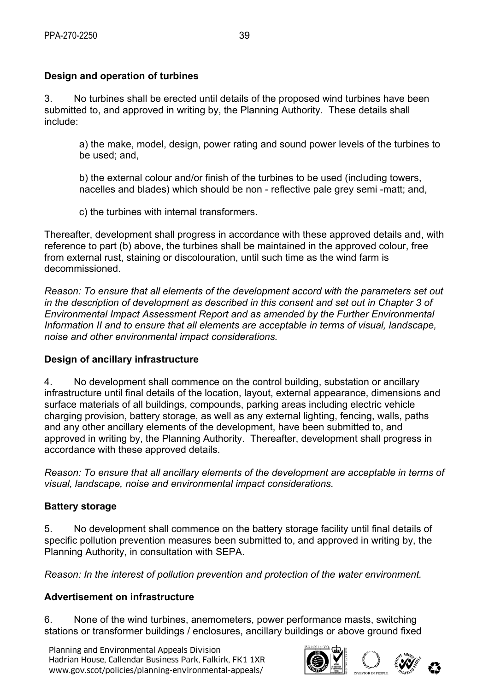# **Design and operation of turbines**

3. No turbines shall be erected until details of the proposed wind turbines have been submitted to, and approved in writing by, the Planning Authority. These details shall include:

a) the make, model, design, power rating and sound power levels of the turbines to be used; and,

b) the external colour and/or finish of the turbines to be used (including towers, nacelles and blades) which should be non - reflective pale grey semi -matt; and,

c) the turbines with internal transformers.

Thereafter, development shall progress in accordance with these approved details and, with reference to part (b) above, the turbines shall be maintained in the approved colour, free from external rust, staining or discolouration, until such time as the wind farm is decommissioned.

*Reason: To ensure that all elements of the development accord with the parameters set out in the description of development as described in this consent and set out in Chapter 3 of Environmental Impact Assessment Report and as amended by the Further Environmental Information II and to ensure that all elements are acceptable in terms of visual, landscape, noise and other environmental impact considerations.*

## **Design of ancillary infrastructure**

4. No development shall commence on the control building, substation or ancillary infrastructure until final details of the location, layout, external appearance, dimensions and surface materials of all buildings, compounds, parking areas including electric vehicle charging provision, battery storage, as well as any external lighting, fencing, walls, paths and any other ancillary elements of the development, have been submitted to, and approved in writing by, the Planning Authority. Thereafter, development shall progress in accordance with these approved details.

*Reason: To ensure that all ancillary elements of the development are acceptable in terms of visual, landscape, noise and environmental impact considerations.*

## **Battery storage**

5. No development shall commence on the battery storage facility until final details of specific pollution prevention measures been submitted to, and approved in writing by, the Planning Authority, in consultation with SEPA.

*Reason: In the interest of pollution prevention and protection of the water environment.* 

## **Advertisement on infrastructure**

6. None of the wind turbines, anemometers, power performance masts, switching stations or transformer buildings / enclosures, ancillary buildings or above ground fixed

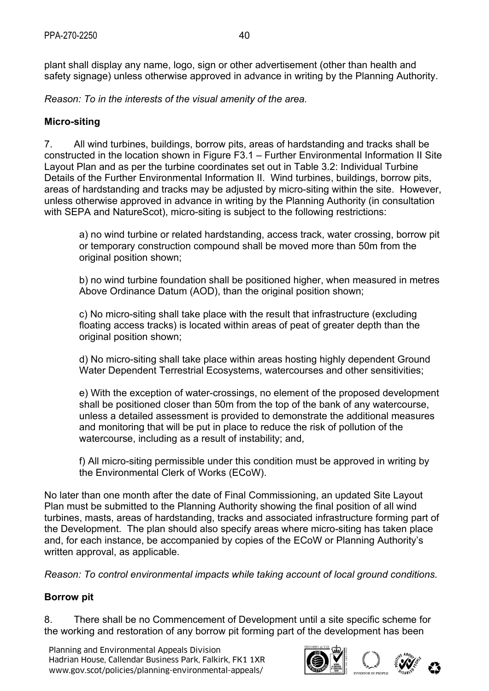*Reason: To in the interests of the visual amenity of the area.*

# **Micro-siting**

7. All wind turbines, buildings, borrow pits, areas of hardstanding and tracks shall be constructed in the location shown in Figure F3.1 – Further Environmental Information II Site Layout Plan and as per the turbine coordinates set out in Table 3.2: Individual Turbine Details of the Further Environmental Information II. Wind turbines, buildings, borrow pits, areas of hardstanding and tracks may be adjusted by micro-siting within the site. However, unless otherwise approved in advance in writing by the Planning Authority (in consultation with SEPA and NatureScot), micro-siting is subject to the following restrictions:

a) no wind turbine or related hardstanding, access track, water crossing, borrow pit or temporary construction compound shall be moved more than 50m from the original position shown;

b) no wind turbine foundation shall be positioned higher, when measured in metres Above Ordinance Datum (AOD), than the original position shown;

c) No micro-siting shall take place with the result that infrastructure (excluding floating access tracks) is located within areas of peat of greater depth than the original position shown;

d) No micro-siting shall take place within areas hosting highly dependent Ground Water Dependent Terrestrial Ecosystems, watercourses and other sensitivities;

e) With the exception of water-crossings, no element of the proposed development shall be positioned closer than 50m from the top of the bank of any watercourse, unless a detailed assessment is provided to demonstrate the additional measures and monitoring that will be put in place to reduce the risk of pollution of the watercourse, including as a result of instability; and,

f) All micro-siting permissible under this condition must be approved in writing by the Environmental Clerk of Works (ECoW).

No later than one month after the date of Final Commissioning, an updated Site Layout Plan must be submitted to the Planning Authority showing the final position of all wind turbines, masts, areas of hardstanding, tracks and associated infrastructure forming part of the Development. The plan should also specify areas where micro-siting has taken place and, for each instance, be accompanied by copies of the ECoW or Planning Authority's written approval, as applicable.

*Reason: To control environmental impacts while taking account of local ground conditions.*

## **Borrow pit**

8. There shall be no Commencement of Development until a site specific scheme for the working and restoration of any borrow pit forming part of the development has been

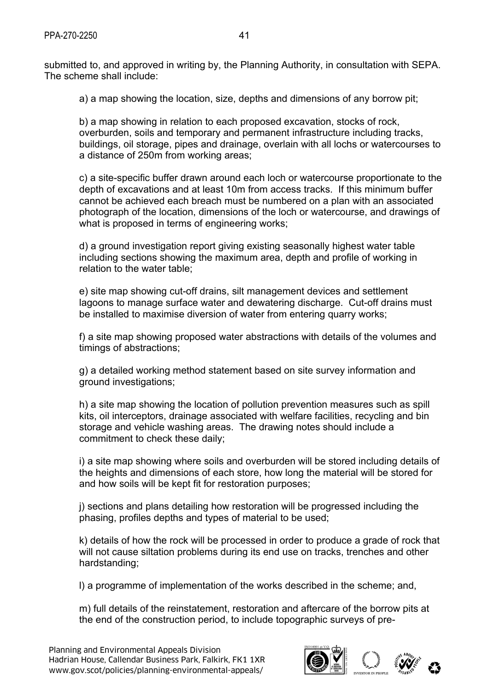submitted to, and approved in writing by, the Planning Authority, in consultation with SEPA. The scheme shall include:

a) a map showing the location, size, depths and dimensions of any borrow pit;

b) a map showing in relation to each proposed excavation, stocks of rock, overburden, soils and temporary and permanent infrastructure including tracks, buildings, oil storage, pipes and drainage, overlain with all lochs or watercourses to a distance of 250m from working areas;

c) a site-specific buffer drawn around each loch or watercourse proportionate to the depth of excavations and at least 10m from access tracks. If this minimum buffer cannot be achieved each breach must be numbered on a plan with an associated photograph of the location, dimensions of the loch or watercourse, and drawings of what is proposed in terms of engineering works;

d) a ground investigation report giving existing seasonally highest water table including sections showing the maximum area, depth and profile of working in relation to the water table;

e) site map showing cut-off drains, silt management devices and settlement lagoons to manage surface water and dewatering discharge. Cut-off drains must be installed to maximise diversion of water from entering quarry works;

f) a site map showing proposed water abstractions with details of the volumes and timings of abstractions;

g) a detailed working method statement based on site survey information and ground investigations;

h) a site map showing the location of pollution prevention measures such as spill kits, oil interceptors, drainage associated with welfare facilities, recycling and bin storage and vehicle washing areas. The drawing notes should include a commitment to check these daily;

i) a site map showing where soils and overburden will be stored including details of the heights and dimensions of each store, how long the material will be stored for and how soils will be kept fit for restoration purposes;

j) sections and plans detailing how restoration will be progressed including the phasing, profiles depths and types of material to be used;

k) details of how the rock will be processed in order to produce a grade of rock that will not cause siltation problems during its end use on tracks, trenches and other hardstanding;

l) a programme of implementation of the works described in the scheme; and,

m) full details of the reinstatement, restoration and aftercare of the borrow pits at the end of the construction period, to include topographic surveys of pre-

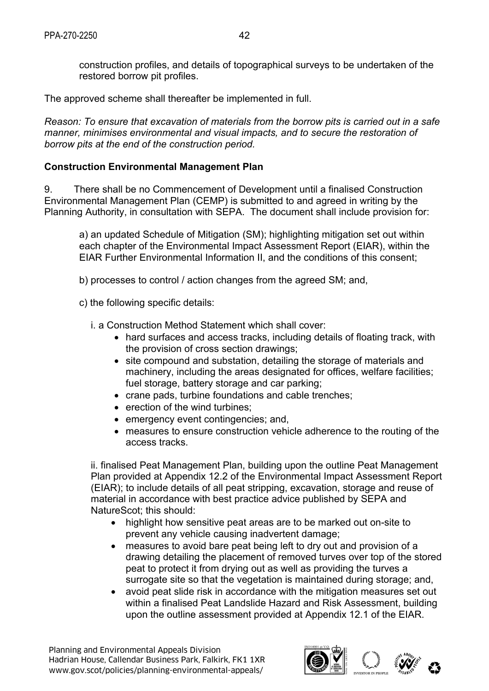construction profiles, and details of topographical surveys to be undertaken of the restored borrow pit profiles.

The approved scheme shall thereafter be implemented in full.

*Reason: To ensure that excavation of materials from the borrow pits is carried out in a safe manner, minimises environmental and visual impacts, and to secure the restoration of borrow pits at the end of the construction period.*

## **Construction Environmental Management Plan**

9. There shall be no Commencement of Development until a finalised Construction Environmental Management Plan (CEMP) is submitted to and agreed in writing by the Planning Authority, in consultation with SEPA. The document shall include provision for:

a) an updated Schedule of Mitigation (SM); highlighting mitigation set out within each chapter of the Environmental Impact Assessment Report (EIAR), within the EIAR Further Environmental Information II, and the conditions of this consent;

b) processes to control / action changes from the agreed SM; and,

c) the following specific details:

i. a Construction Method Statement which shall cover:

- hard surfaces and access tracks, including details of floating track, with the provision of cross section drawings;
- site compound and substation, detailing the storage of materials and machinery, including the areas designated for offices, welfare facilities; fuel storage, battery storage and car parking;
- crane pads, turbine foundations and cable trenches;
- erection of the wind turbines;
- emergency event contingencies; and,
- measures to ensure construction vehicle adherence to the routing of the access tracks.

ii. finalised Peat Management Plan, building upon the outline Peat Management Plan provided at Appendix 12.2 of the Environmental Impact Assessment Report (EIAR); to include details of all peat stripping, excavation, storage and reuse of material in accordance with best practice advice published by SEPA and NatureScot; this should:

- highlight how sensitive peat areas are to be marked out on-site to prevent any vehicle causing inadvertent damage;
- measures to avoid bare peat being left to dry out and provision of a drawing detailing the placement of removed turves over top of the stored peat to protect it from drying out as well as providing the turves a surrogate site so that the vegetation is maintained during storage; and,
- avoid peat slide risk in accordance with the mitigation measures set out within a finalised Peat Landslide Hazard and Risk Assessment, building upon the outline assessment provided at Appendix 12.1 of the EIAR.

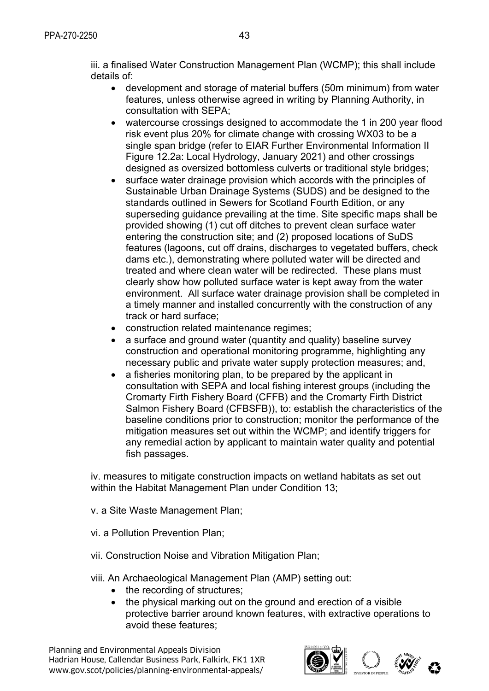iii. a finalised Water Construction Management Plan (WCMP); this shall include details of:

- development and storage of material buffers (50m minimum) from water features, unless otherwise agreed in writing by Planning Authority, in consultation with SEPA;
- watercourse crossings designed to accommodate the 1 in 200 year flood risk event plus 20% for climate change with crossing WX03 to be a single span bridge (refer to EIAR Further Environmental Information II Figure 12.2a: Local Hydrology, January 2021) and other crossings designed as oversized bottomless culverts or traditional style bridges;
- surface water drainage provision which accords with the principles of Sustainable Urban Drainage Systems (SUDS) and be designed to the standards outlined in Sewers for Scotland Fourth Edition, or any superseding guidance prevailing at the time. Site specific maps shall be provided showing (1) cut off ditches to prevent clean surface water entering the construction site; and (2) proposed locations of SuDS features (lagoons, cut off drains, discharges to vegetated buffers, check dams etc.), demonstrating where polluted water will be directed and treated and where clean water will be redirected. These plans must clearly show how polluted surface water is kept away from the water environment. All surface water drainage provision shall be completed in a timely manner and installed concurrently with the construction of any track or hard surface;
- construction related maintenance regimes;
- a surface and ground water (quantity and quality) baseline survey construction and operational monitoring programme, highlighting any necessary public and private water supply protection measures; and,
- a fisheries monitoring plan, to be prepared by the applicant in consultation with SEPA and local fishing interest groups (including the Cromarty Firth Fishery Board (CFFB) and the Cromarty Firth District Salmon Fishery Board (CFBSFB)), to: establish the characteristics of the baseline conditions prior to construction; monitor the performance of the mitigation measures set out within the WCMP; and identify triggers for any remedial action by applicant to maintain water quality and potential fish passages.

iv. measures to mitigate construction impacts on wetland habitats as set out within the Habitat Management Plan under Condition 13;

v. a Site Waste Management Plan;

vi. a Pollution Prevention Plan;

- vii. Construction Noise and Vibration Mitigation Plan;
- viii. An Archaeological Management Plan (AMP) setting out:
	- the recording of structures;
	- the physical marking out on the ground and erection of a visible protective barrier around known features, with extractive operations to avoid these features;

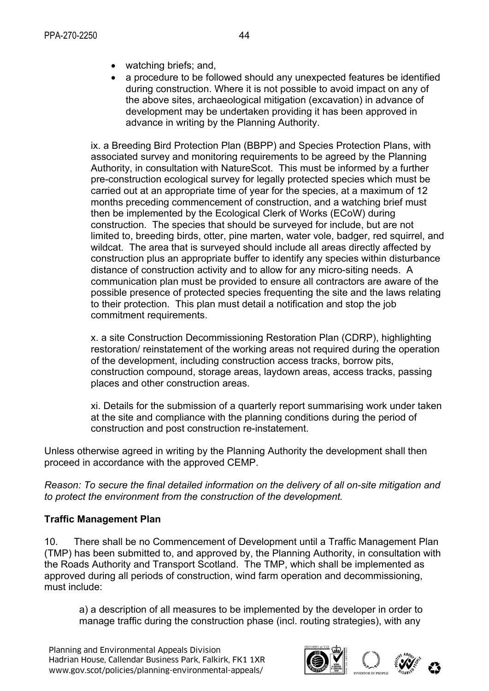- watching briefs; and,
- a procedure to be followed should any unexpected features be identified during construction. Where it is not possible to avoid impact on any of the above sites, archaeological mitigation (excavation) in advance of development may be undertaken providing it has been approved in advance in writing by the Planning Authority.

ix. a Breeding Bird Protection Plan (BBPP) and Species Protection Plans, with associated survey and monitoring requirements to be agreed by the Planning Authority, in consultation with NatureScot. This must be informed by a further pre-construction ecological survey for legally protected species which must be carried out at an appropriate time of year for the species, at a maximum of 12 months preceding commencement of construction, and a watching brief must then be implemented by the Ecological Clerk of Works (ECoW) during construction. The species that should be surveyed for include, but are not limited to, breeding birds, otter, pine marten, water vole, badger, red squirrel, and wildcat. The area that is surveyed should include all areas directly affected by construction plus an appropriate buffer to identify any species within disturbance distance of construction activity and to allow for any micro-siting needs. A communication plan must be provided to ensure all contractors are aware of the possible presence of protected species frequenting the site and the laws relating to their protection. This plan must detail a notification and stop the job commitment requirements.

x. a site Construction Decommissioning Restoration Plan (CDRP), highlighting restoration/ reinstatement of the working areas not required during the operation of the development, including construction access tracks, borrow pits, construction compound, storage areas, laydown areas, access tracks, passing places and other construction areas.

xi. Details for the submission of a quarterly report summarising work under taken at the site and compliance with the planning conditions during the period of construction and post construction re-instatement.

Unless otherwise agreed in writing by the Planning Authority the development shall then proceed in accordance with the approved CEMP.

*Reason: To secure the final detailed information on the delivery of all on-site mitigation and to protect the environment from the construction of the development.*

## **Traffic Management Plan**

10. There shall be no Commencement of Development until a Traffic Management Plan (TMP) has been submitted to, and approved by, the Planning Authority, in consultation with the Roads Authority and Transport Scotland. The TMP, which shall be implemented as approved during all periods of construction, wind farm operation and decommissioning, must include:

a) a description of all measures to be implemented by the developer in order to manage traffic during the construction phase (incl. routing strategies), with any

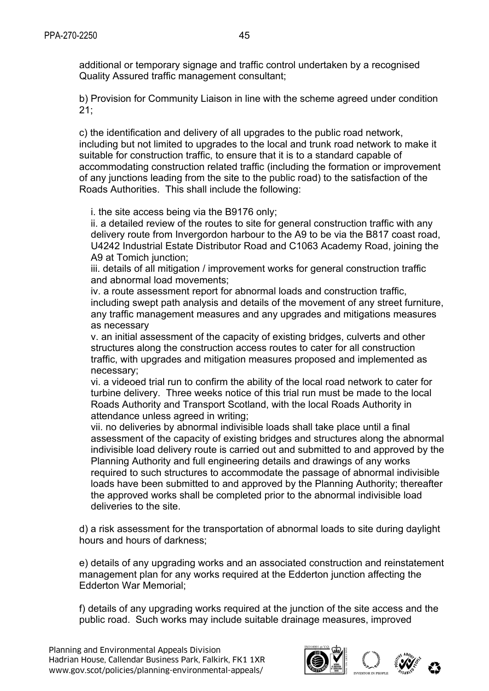additional or temporary signage and traffic control undertaken by a recognised Quality Assured traffic management consultant;

b) Provision for Community Liaison in line with the scheme agreed under condition 21;

c) the identification and delivery of all upgrades to the public road network, including but not limited to upgrades to the local and trunk road network to make it suitable for construction traffic, to ensure that it is to a standard capable of accommodating construction related traffic (including the formation or improvement of any junctions leading from the site to the public road) to the satisfaction of the Roads Authorities. This shall include the following:

i. the site access being via the B9176 only;

ii. a detailed review of the routes to site for general construction traffic with any delivery route from Invergordon harbour to the A9 to be via the B817 coast road, U4242 Industrial Estate Distributor Road and C1063 Academy Road, joining the A9 at Tomich junction:

iii. details of all mitigation / improvement works for general construction traffic and abnormal load movements;

iv. a route assessment report for abnormal loads and construction traffic, including swept path analysis and details of the movement of any street furniture, any traffic management measures and any upgrades and mitigations measures as necessary

v. an initial assessment of the capacity of existing bridges, culverts and other structures along the construction access routes to cater for all construction traffic, with upgrades and mitigation measures proposed and implemented as necessary;

vi. a videoed trial run to confirm the ability of the local road network to cater for turbine delivery. Three weeks notice of this trial run must be made to the local Roads Authority and Transport Scotland, with the local Roads Authority in attendance unless agreed in writing;

vii. no deliveries by abnormal indivisible loads shall take place until a final assessment of the capacity of existing bridges and structures along the abnormal indivisible load delivery route is carried out and submitted to and approved by the Planning Authority and full engineering details and drawings of any works required to such structures to accommodate the passage of abnormal indivisible loads have been submitted to and approved by the Planning Authority; thereafter the approved works shall be completed prior to the abnormal indivisible load deliveries to the site.

d) a risk assessment for the transportation of abnormal loads to site during daylight hours and hours of darkness;

e) details of any upgrading works and an associated construction and reinstatement management plan for any works required at the Edderton junction affecting the Edderton War Memorial;

f) details of any upgrading works required at the junction of the site access and the public road. Such works may include suitable drainage measures, improved

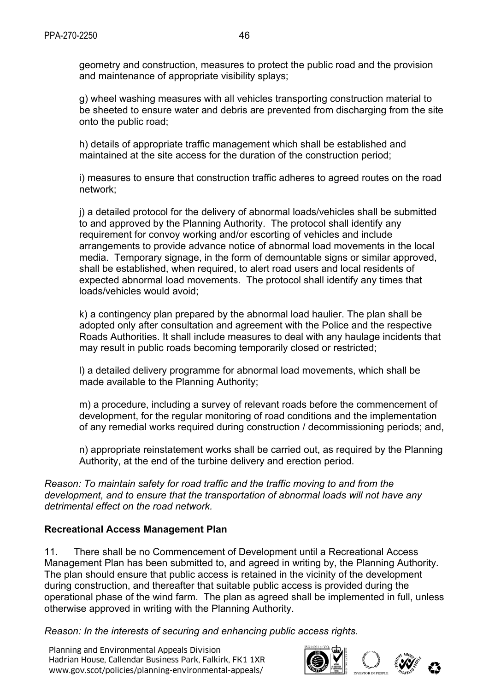geometry and construction, measures to protect the public road and the provision and maintenance of appropriate visibility splays;

g) wheel washing measures with all vehicles transporting construction material to be sheeted to ensure water and debris are prevented from discharging from the site onto the public road;

h) details of appropriate traffic management which shall be established and maintained at the site access for the duration of the construction period;

i) measures to ensure that construction traffic adheres to agreed routes on the road network;

j) a detailed protocol for the delivery of abnormal loads/vehicles shall be submitted to and approved by the Planning Authority. The protocol shall identify any requirement for convoy working and/or escorting of vehicles and include arrangements to provide advance notice of abnormal load movements in the local media. Temporary signage, in the form of demountable signs or similar approved, shall be established, when required, to alert road users and local residents of expected abnormal load movements. The protocol shall identify any times that loads/vehicles would avoid;

k) a contingency plan prepared by the abnormal load haulier. The plan shall be adopted only after consultation and agreement with the Police and the respective Roads Authorities. It shall include measures to deal with any haulage incidents that may result in public roads becoming temporarily closed or restricted;

l) a detailed delivery programme for abnormal load movements, which shall be made available to the Planning Authority;

m) a procedure, including a survey of relevant roads before the commencement of development, for the regular monitoring of road conditions and the implementation of any remedial works required during construction / decommissioning periods; and,

n) appropriate reinstatement works shall be carried out, as required by the Planning Authority, at the end of the turbine delivery and erection period.

*Reason: To maintain safety for road traffic and the traffic moving to and from the development, and to ensure that the transportation of abnormal loads will not have any detrimental effect on the road network.* 

## **Recreational Access Management Plan**

11. There shall be no Commencement of Development until a Recreational Access Management Plan has been submitted to, and agreed in writing by, the Planning Authority. The plan should ensure that public access is retained in the vicinity of the development during construction, and thereafter that suitable public access is provided during the operational phase of the wind farm. The plan as agreed shall be implemented in full, unless otherwise approved in writing with the Planning Authority.

*Reason: In the interests of securing and enhancing public access rights.* 

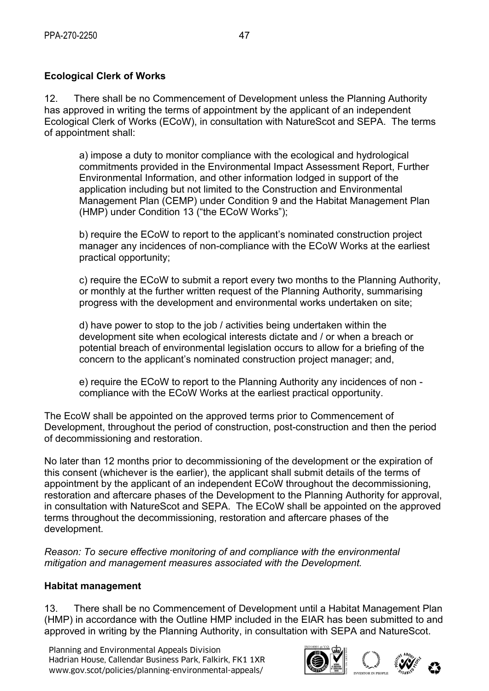# **Ecological Clerk of Works**

12. There shall be no Commencement of Development unless the Planning Authority has approved in writing the terms of appointment by the applicant of an independent Ecological Clerk of Works (ECoW), in consultation with NatureScot and SEPA. The terms of appointment shall:

a) impose a duty to monitor compliance with the ecological and hydrological commitments provided in the Environmental Impact Assessment Report, Further Environmental Information, and other information lodged in support of the application including but not limited to the Construction and Environmental Management Plan (CEMP) under Condition 9 and the Habitat Management Plan (HMP) under Condition 13 ("the ECoW Works");

b) require the ECoW to report to the applicant's nominated construction project manager any incidences of non-compliance with the ECoW Works at the earliest practical opportunity;

c) require the ECoW to submit a report every two months to the Planning Authority, or monthly at the further written request of the Planning Authority, summarising progress with the development and environmental works undertaken on site;

d) have power to stop to the job / activities being undertaken within the development site when ecological interests dictate and / or when a breach or potential breach of environmental legislation occurs to allow for a briefing of the concern to the applicant's nominated construction project manager; and,

e) require the ECoW to report to the Planning Authority any incidences of non compliance with the ECoW Works at the earliest practical opportunity.

The EcoW shall be appointed on the approved terms prior to Commencement of Development, throughout the period of construction, post-construction and then the period of decommissioning and restoration.

No later than 12 months prior to decommissioning of the development or the expiration of this consent (whichever is the earlier), the applicant shall submit details of the terms of appointment by the applicant of an independent ECoW throughout the decommissioning, restoration and aftercare phases of the Development to the Planning Authority for approval, in consultation with NatureScot and SEPA. The ECoW shall be appointed on the approved terms throughout the decommissioning, restoration and aftercare phases of the development.

*Reason: To secure effective monitoring of and compliance with the environmental mitigation and management measures associated with the Development.* 

#### **Habitat management**

13. There shall be no Commencement of Development until a Habitat Management Plan (HMP) in accordance with the Outline HMP included in the EIAR has been submitted to and approved in writing by the Planning Authority, in consultation with SEPA and NatureScot.

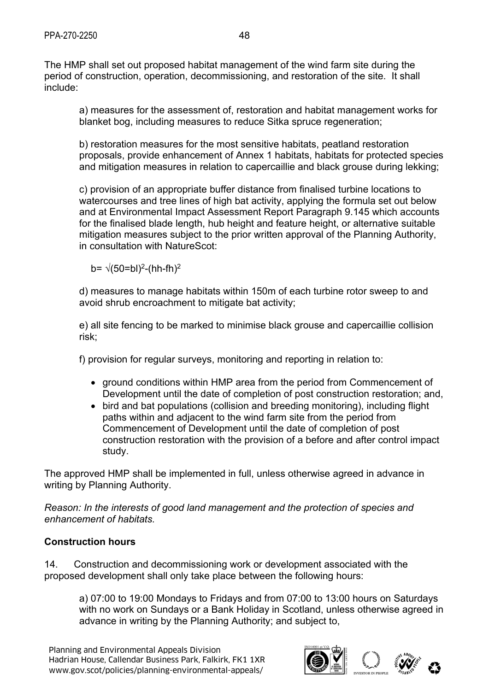The HMP shall set out proposed habitat management of the wind farm site during the period of construction, operation, decommissioning, and restoration of the site. It shall include:

a) measures for the assessment of, restoration and habitat management works for blanket bog, including measures to reduce Sitka spruce regeneration;

b) restoration measures for the most sensitive habitats, peatland restoration proposals, provide enhancement of Annex 1 habitats, habitats for protected species and mitigation measures in relation to capercaillie and black grouse during lekking;

c) provision of an appropriate buffer distance from finalised turbine locations to watercourses and tree lines of high bat activity, applying the formula set out below and at Environmental Impact Assessment Report Paragraph 9.145 which accounts for the finalised blade length, hub height and feature height, or alternative suitable mitigation measures subject to the prior written approval of the Planning Authority, in consultation with NatureScot:

b=  $\sqrt{(50=bl)^2}$ -(hh-fh)<sup>2</sup>

d) measures to manage habitats within 150m of each turbine rotor sweep to and avoid shrub encroachment to mitigate bat activity;

e) all site fencing to be marked to minimise black grouse and capercaillie collision risk;

f) provision for regular surveys, monitoring and reporting in relation to:

- ground conditions within HMP area from the period from Commencement of Development until the date of completion of post construction restoration; and,
- bird and bat populations (collision and breeding monitoring), including flight paths within and adjacent to the wind farm site from the period from Commencement of Development until the date of completion of post construction restoration with the provision of a before and after control impact study.

The approved HMP shall be implemented in full, unless otherwise agreed in advance in writing by Planning Authority.

*Reason: In the interests of good land management and the protection of species and enhancement of habitats.* 

## **Construction hours**

14. Construction and decommissioning work or development associated with the proposed development shall only take place between the following hours:

a) 07:00 to 19:00 Mondays to Fridays and from 07:00 to 13:00 hours on Saturdays with no work on Sundays or a Bank Holiday in Scotland, unless otherwise agreed in advance in writing by the Planning Authority; and subject to,

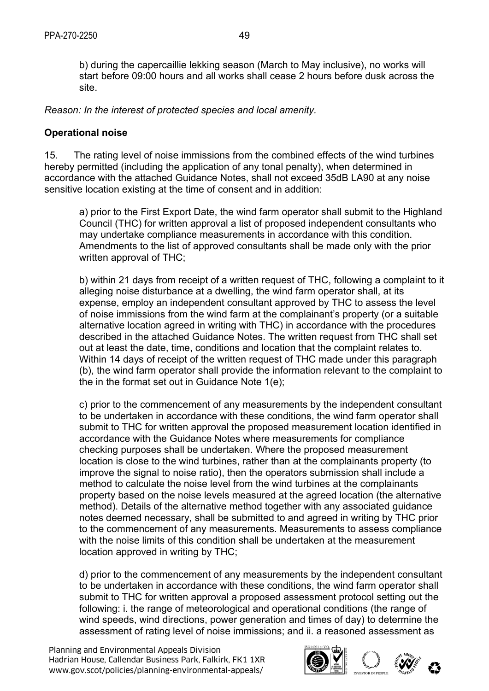b) during the capercaillie lekking season (March to May inclusive), no works will start before 09:00 hours and all works shall cease 2 hours before dusk across the site.

*Reason: In the interest of protected species and local amenity.* 

#### **Operational noise**

15. The rating level of noise immissions from the combined effects of the wind turbines hereby permitted (including the application of any tonal penalty), when determined in accordance with the attached Guidance Notes, shall not exceed 35dB LA90 at any noise sensitive location existing at the time of consent and in addition:

a) prior to the First Export Date, the wind farm operator shall submit to the Highland Council (THC) for written approval a list of proposed independent consultants who may undertake compliance measurements in accordance with this condition. Amendments to the list of approved consultants shall be made only with the prior written approval of THC;

b) within 21 days from receipt of a written request of THC, following a complaint to it alleging noise disturbance at a dwelling, the wind farm operator shall, at its expense, employ an independent consultant approved by THC to assess the level of noise immissions from the wind farm at the complainant's property (or a suitable alternative location agreed in writing with THC) in accordance with the procedures described in the attached Guidance Notes. The written request from THC shall set out at least the date, time, conditions and location that the complaint relates to. Within 14 days of receipt of the written request of THC made under this paragraph (b), the wind farm operator shall provide the information relevant to the complaint to the in the format set out in Guidance Note 1(e);

c) prior to the commencement of any measurements by the independent consultant to be undertaken in accordance with these conditions, the wind farm operator shall submit to THC for written approval the proposed measurement location identified in accordance with the Guidance Notes where measurements for compliance checking purposes shall be undertaken. Where the proposed measurement location is close to the wind turbines, rather than at the complainants property (to improve the signal to noise ratio), then the operators submission shall include a method to calculate the noise level from the wind turbines at the complainants property based on the noise levels measured at the agreed location (the alternative method). Details of the alternative method together with any associated guidance notes deemed necessary, shall be submitted to and agreed in writing by THC prior to the commencement of any measurements. Measurements to assess compliance with the noise limits of this condition shall be undertaken at the measurement location approved in writing by THC;

d) prior to the commencement of any measurements by the independent consultant to be undertaken in accordance with these conditions, the wind farm operator shall submit to THC for written approval a proposed assessment protocol setting out the following: i. the range of meteorological and operational conditions (the range of wind speeds, wind directions, power generation and times of day) to determine the assessment of rating level of noise immissions; and ii. a reasoned assessment as

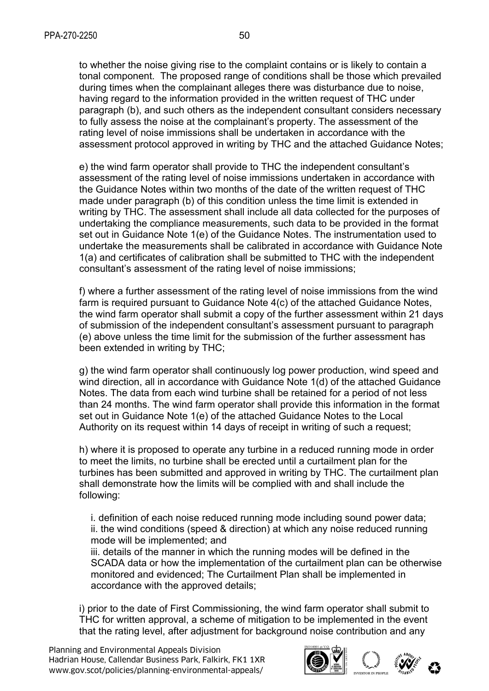to whether the noise giving rise to the complaint contains or is likely to contain a tonal component. The proposed range of conditions shall be those which prevailed during times when the complainant alleges there was disturbance due to noise, having regard to the information provided in the written request of THC under paragraph (b), and such others as the independent consultant considers necessary to fully assess the noise at the complainant's property. The assessment of the rating level of noise immissions shall be undertaken in accordance with the assessment protocol approved in writing by THC and the attached Guidance Notes;

e) the wind farm operator shall provide to THC the independent consultant's assessment of the rating level of noise immissions undertaken in accordance with the Guidance Notes within two months of the date of the written request of THC made under paragraph (b) of this condition unless the time limit is extended in writing by THC. The assessment shall include all data collected for the purposes of undertaking the compliance measurements, such data to be provided in the format set out in Guidance Note 1(e) of the Guidance Notes. The instrumentation used to undertake the measurements shall be calibrated in accordance with Guidance Note 1(a) and certificates of calibration shall be submitted to THC with the independent consultant's assessment of the rating level of noise immissions;

f) where a further assessment of the rating level of noise immissions from the wind farm is required pursuant to Guidance Note 4(c) of the attached Guidance Notes, the wind farm operator shall submit a copy of the further assessment within 21 days of submission of the independent consultant's assessment pursuant to paragraph (e) above unless the time limit for the submission of the further assessment has been extended in writing by THC;

g) the wind farm operator shall continuously log power production, wind speed and wind direction, all in accordance with Guidance Note 1(d) of the attached Guidance Notes. The data from each wind turbine shall be retained for a period of not less than 24 months. The wind farm operator shall provide this information in the format set out in Guidance Note 1(e) of the attached Guidance Notes to the Local Authority on its request within 14 days of receipt in writing of such a request;

h) where it is proposed to operate any turbine in a reduced running mode in order to meet the limits, no turbine shall be erected until a curtailment plan for the turbines has been submitted and approved in writing by THC. The curtailment plan shall demonstrate how the limits will be complied with and shall include the following:

i. definition of each noise reduced running mode including sound power data; ii. the wind conditions (speed & direction) at which any noise reduced running mode will be implemented; and

iii. details of the manner in which the running modes will be defined in the SCADA data or how the implementation of the curtailment plan can be otherwise monitored and evidenced; The Curtailment Plan shall be implemented in accordance with the approved details;

i) prior to the date of First Commissioning, the wind farm operator shall submit to THC for written approval, a scheme of mitigation to be implemented in the event that the rating level, after adjustment for background noise contribution and any

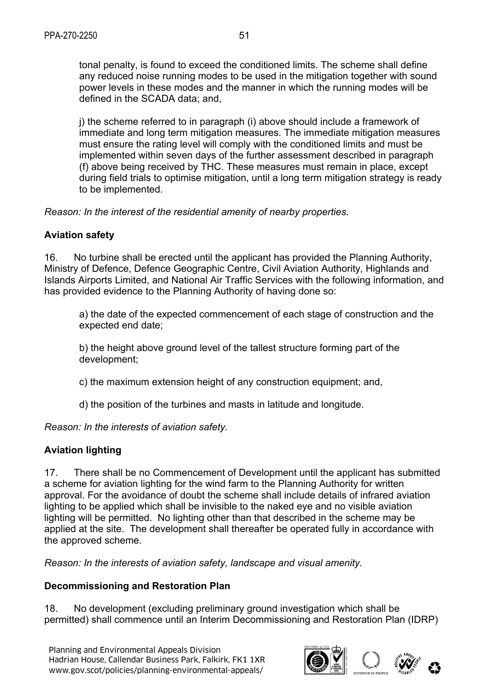tonal penalty, is found to exceed the conditioned limits. The scheme shall define any reduced noise running modes to be used in the mitigation together with sound power levels in these modes and the manner in which the running modes will be defined in the SCADA data; and,

j) the scheme referred to in paragraph (i) above should include a framework of immediate and long term mitigation measures. The immediate mitigation measures must ensure the rating level will comply with the conditioned limits and must be implemented within seven days of the further assessment described in paragraph (f) above being received by THC. These measures must remain in place, except during field trials to optimise mitigation, until a long term mitigation strategy is ready to be implemented.

*Reason: In the interest of the residential amenity of nearby properties.*

#### **Aviation safety**

16. No turbine shall be erected until the applicant has provided the Planning Authority, Ministry of Defence, Defence Geographic Centre, Civil Aviation Authority, Highlands and Islands Airports Limited, and National Air Traffic Services with the following information, and has provided evidence to the Planning Authority of having done so:

a) the date of the expected commencement of each stage of construction and the expected end date;

b) the height above ground level of the tallest structure forming part of the development;

c) the maximum extension height of any construction equipment; and,

d) the position of the turbines and masts in latitude and longitude.

*Reason: In the interests of aviation safety.* 

## **Aviation lighting**

17. There shall be no Commencement of Development until the applicant has submitted a scheme for aviation lighting for the wind farm to the Planning Authority for written approval. For the avoidance of doubt the scheme shall include details of infrared aviation lighting to be applied which shall be invisible to the naked eye and no visible aviation lighting will be permitted. No lighting other than that described in the scheme may be applied at the site. The development shall thereafter be operated fully in accordance with the approved scheme.

*Reason: In the interests of aviation safety, landscape and visual amenity.* 

#### **Decommissioning and Restoration Plan**

18. No development (excluding preliminary ground investigation which shall be permitted) shall commence until an Interim Decommissioning and Restoration Plan (IDRP)

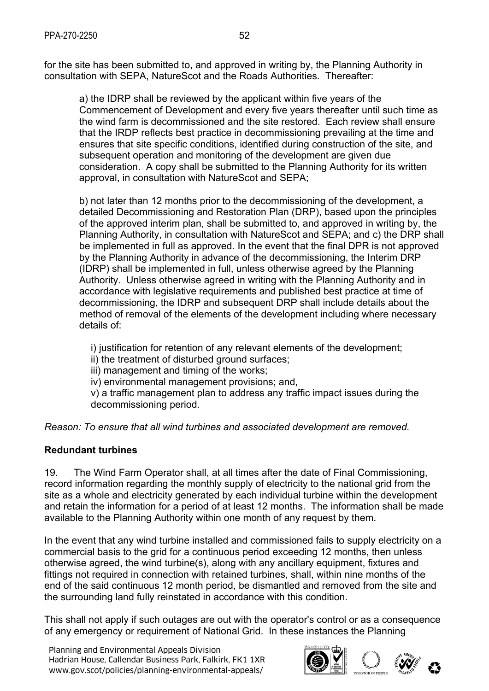for the site has been submitted to, and approved in writing by, the Planning Authority in consultation with SEPA, NatureScot and the Roads Authorities. Thereafter:

a) the IDRP shall be reviewed by the applicant within five years of the Commencement of Development and every five years thereafter until such time as the wind farm is decommissioned and the site restored. Each review shall ensure that the IRDP reflects best practice in decommissioning prevailing at the time and ensures that site specific conditions, identified during construction of the site, and subsequent operation and monitoring of the development are given due consideration. A copy shall be submitted to the Planning Authority for its written approval, in consultation with NatureScot and SEPA;

b) not later than 12 months prior to the decommissioning of the development, a detailed Decommissioning and Restoration Plan (DRP), based upon the principles of the approved interim plan, shall be submitted to, and approved in writing by, the Planning Authority, in consultation with NatureScot and SEPA; and c) the DRP shall be implemented in full as approved. In the event that the final DPR is not approved by the Planning Authority in advance of the decommissioning, the Interim DRP (IDRP) shall be implemented in full, unless otherwise agreed by the Planning Authority. Unless otherwise agreed in writing with the Planning Authority and in accordance with legislative requirements and published best practice at time of decommissioning, the IDRP and subsequent DRP shall include details about the method of removal of the elements of the development including where necessary details of:

i) justification for retention of any relevant elements of the development;

ii) the treatment of disturbed ground surfaces;

iii) management and timing of the works;

iv) environmental management provisions; and,

v) a traffic management plan to address any traffic impact issues during the decommissioning period.

*Reason: To ensure that all wind turbines and associated development are removed.* 

## **Redundant turbines**

19. The Wind Farm Operator shall, at all times after the date of Final Commissioning, record information regarding the monthly supply of electricity to the national grid from the site as a whole and electricity generated by each individual turbine within the development and retain the information for a period of at least 12 months. The information shall be made available to the Planning Authority within one month of any request by them.

In the event that any wind turbine installed and commissioned fails to supply electricity on a commercial basis to the grid for a continuous period exceeding 12 months, then unless otherwise agreed, the wind turbine(s), along with any ancillary equipment, fixtures and fittings not required in connection with retained turbines, shall, within nine months of the end of the said continuous 12 month period, be dismantled and removed from the site and the surrounding land fully reinstated in accordance with this condition.

This shall not apply if such outages are out with the operator's control or as a consequence of any emergency or requirement of National Grid. In these instances the Planning

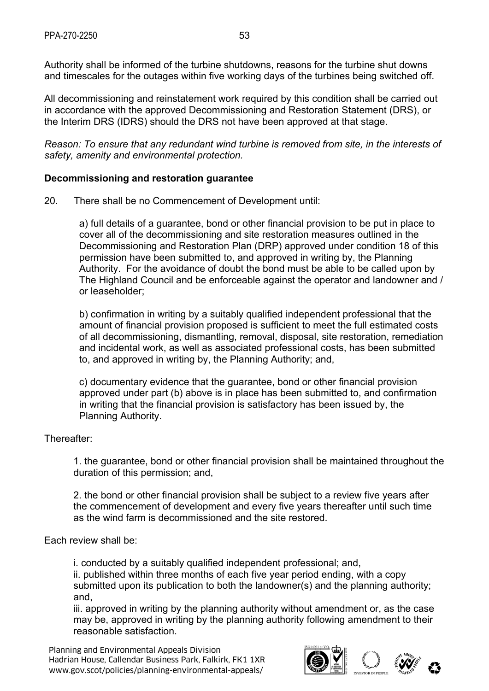Authority shall be informed of the turbine shutdowns, reasons for the turbine shut downs and timescales for the outages within five working days of the turbines being switched off.

All decommissioning and reinstatement work required by this condition shall be carried out in accordance with the approved Decommissioning and Restoration Statement (DRS), or the Interim DRS (IDRS) should the DRS not have been approved at that stage.

*Reason: To ensure that any redundant wind turbine is removed from site, in the interests of safety, amenity and environmental protection.* 

#### **Decommissioning and restoration guarantee**

20. There shall be no Commencement of Development until:

a) full details of a guarantee, bond or other financial provision to be put in place to cover all of the decommissioning and site restoration measures outlined in the Decommissioning and Restoration Plan (DRP) approved under condition 18 of this permission have been submitted to, and approved in writing by, the Planning Authority. For the avoidance of doubt the bond must be able to be called upon by The Highland Council and be enforceable against the operator and landowner and / or leaseholder;

b) confirmation in writing by a suitably qualified independent professional that the amount of financial provision proposed is sufficient to meet the full estimated costs of all decommissioning, dismantling, removal, disposal, site restoration, remediation and incidental work, as well as associated professional costs, has been submitted to, and approved in writing by, the Planning Authority; and,

c) documentary evidence that the guarantee, bond or other financial provision approved under part (b) above is in place has been submitted to, and confirmation in writing that the financial provision is satisfactory has been issued by, the Planning Authority.

#### Thereafter:

1. the guarantee, bond or other financial provision shall be maintained throughout the duration of this permission; and,

2. the bond or other financial provision shall be subject to a review five years after the commencement of development and every five years thereafter until such time as the wind farm is decommissioned and the site restored.

#### Each review shall be:

i. conducted by a suitably qualified independent professional; and,

ii. published within three months of each five year period ending, with a copy submitted upon its publication to both the landowner(s) and the planning authority; and,

iii. approved in writing by the planning authority without amendment or, as the case may be, approved in writing by the planning authority following amendment to their reasonable satisfaction.

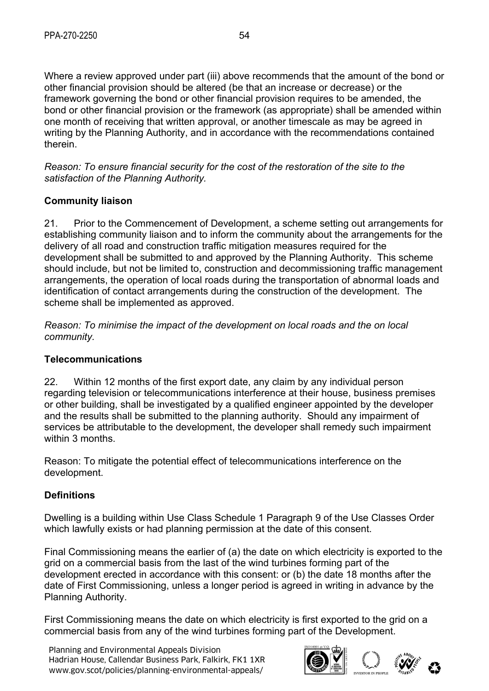Where a review approved under part (iii) above recommends that the amount of the bond or other financial provision should be altered (be that an increase or decrease) or the framework governing the bond or other financial provision requires to be amended, the bond or other financial provision or the framework (as appropriate) shall be amended within one month of receiving that written approval, or another timescale as may be agreed in writing by the Planning Authority, and in accordance with the recommendations contained therein.

*Reason: To ensure financial security for the cost of the restoration of the site to the satisfaction of the Planning Authority.* 

# **Community liaison**

21. Prior to the Commencement of Development, a scheme setting out arrangements for establishing community liaison and to inform the community about the arrangements for the delivery of all road and construction traffic mitigation measures required for the development shall be submitted to and approved by the Planning Authority. This scheme should include, but not be limited to, construction and decommissioning traffic management arrangements, the operation of local roads during the transportation of abnormal loads and identification of contact arrangements during the construction of the development. The scheme shall be implemented as approved.

*Reason: To minimise the impact of the development on local roads and the on local community.* 

## **Telecommunications**

22. Within 12 months of the first export date, any claim by any individual person regarding television or telecommunications interference at their house, business premises or other building, shall be investigated by a qualified engineer appointed by the developer and the results shall be submitted to the planning authority. Should any impairment of services be attributable to the development, the developer shall remedy such impairment within 3 months.

Reason: To mitigate the potential effect of telecommunications interference on the development.

## **Definitions**

Dwelling is a building within Use Class Schedule 1 Paragraph 9 of the Use Classes Order which lawfully exists or had planning permission at the date of this consent.

Final Commissioning means the earlier of (a) the date on which electricity is exported to the grid on a commercial basis from the last of the wind turbines forming part of the development erected in accordance with this consent: or (b) the date 18 months after the date of First Commissioning, unless a longer period is agreed in writing in advance by the Planning Authority.

First Commissioning means the date on which electricity is first exported to the grid on a commercial basis from any of the wind turbines forming part of the Development.

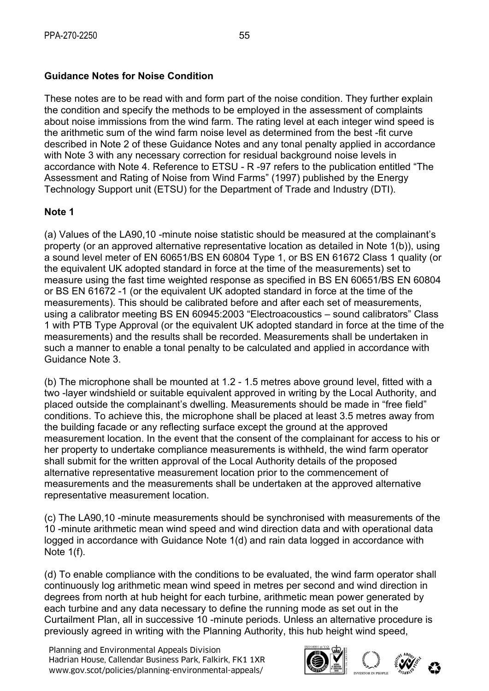# **Guidance Notes for Noise Condition**

These notes are to be read with and form part of the noise condition. They further explain the condition and specify the methods to be employed in the assessment of complaints about noise immissions from the wind farm. The rating level at each integer wind speed is the arithmetic sum of the wind farm noise level as determined from the best -fit curve described in Note 2 of these Guidance Notes and any tonal penalty applied in accordance with Note 3 with any necessary correction for residual background noise levels in accordance with Note 4. Reference to ETSU - R -97 refers to the publication entitled "The Assessment and Rating of Noise from Wind Farms" (1997) published by the Energy Technology Support unit (ETSU) for the Department of Trade and Industry (DTI).

## **Note 1**

(a) Values of the LA90,10 -minute noise statistic should be measured at the complainant's property (or an approved alternative representative location as detailed in Note 1(b)), using a sound level meter of EN 60651/BS EN 60804 Type 1, or BS EN 61672 Class 1 quality (or the equivalent UK adopted standard in force at the time of the measurements) set to measure using the fast time weighted response as specified in BS EN 60651/BS EN 60804 or BS EN 61672 -1 (or the equivalent UK adopted standard in force at the time of the measurements). This should be calibrated before and after each set of measurements, using a calibrator meeting BS EN 60945:2003 "Electroacoustics – sound calibrators" Class 1 with PTB Type Approval (or the equivalent UK adopted standard in force at the time of the measurements) and the results shall be recorded. Measurements shall be undertaken in such a manner to enable a tonal penalty to be calculated and applied in accordance with Guidance Note 3.

(b) The microphone shall be mounted at 1.2 - 1.5 metres above ground level, fitted with a two -layer windshield or suitable equivalent approved in writing by the Local Authority, and placed outside the complainant's dwelling. Measurements should be made in "free field" conditions. To achieve this, the microphone shall be placed at least 3.5 metres away from the building facade or any reflecting surface except the ground at the approved measurement location. In the event that the consent of the complainant for access to his or her property to undertake compliance measurements is withheld, the wind farm operator shall submit for the written approval of the Local Authority details of the proposed alternative representative measurement location prior to the commencement of measurements and the measurements shall be undertaken at the approved alternative representative measurement location.

(c) The LA90,10 -minute measurements should be synchronised with measurements of the 10 -minute arithmetic mean wind speed and wind direction data and with operational data logged in accordance with Guidance Note 1(d) and rain data logged in accordance with Note 1(f).

(d) To enable compliance with the conditions to be evaluated, the wind farm operator shall continuously log arithmetic mean wind speed in metres per second and wind direction in degrees from north at hub height for each turbine, arithmetic mean power generated by each turbine and any data necessary to define the running mode as set out in the Curtailment Plan, all in successive 10 -minute periods. Unless an alternative procedure is previously agreed in writing with the Planning Authority, this hub height wind speed,

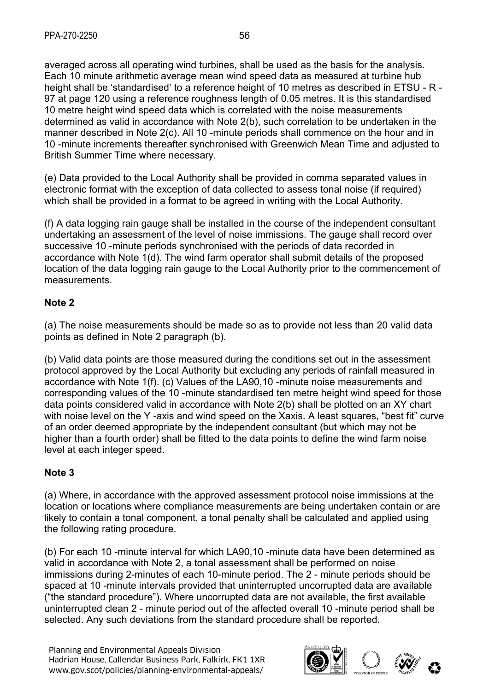averaged across all operating wind turbines, shall be used as the basis for the analysis. Each 10 minute arithmetic average mean wind speed data as measured at turbine hub height shall be 'standardised' to a reference height of 10 metres as described in ETSU - R - 97 at page 120 using a reference roughness length of 0.05 metres. It is this standardised 10 metre height wind speed data which is correlated with the noise measurements determined as valid in accordance with Note 2(b), such correlation to be undertaken in the manner described in Note 2(c). All 10 -minute periods shall commence on the hour and in 10 -minute increments thereafter synchronised with Greenwich Mean Time and adjusted to British Summer Time where necessary.

(e) Data provided to the Local Authority shall be provided in comma separated values in electronic format with the exception of data collected to assess tonal noise (if required) which shall be provided in a format to be agreed in writing with the Local Authority.

(f) A data logging rain gauge shall be installed in the course of the independent consultant undertaking an assessment of the level of noise immissions. The gauge shall record over successive 10 -minute periods synchronised with the periods of data recorded in accordance with Note 1(d). The wind farm operator shall submit details of the proposed location of the data logging rain gauge to the Local Authority prior to the commencement of measurements.

## **Note 2**

(a) The noise measurements should be made so as to provide not less than 20 valid data points as defined in Note 2 paragraph (b).

(b) Valid data points are those measured during the conditions set out in the assessment protocol approved by the Local Authority but excluding any periods of rainfall measured in accordance with Note 1(f). (c) Values of the LA90,10 -minute noise measurements and corresponding values of the 10 -minute standardised ten metre height wind speed for those data points considered valid in accordance with Note 2(b) shall be plotted on an XY chart with noise level on the Y-axis and wind speed on the Xaxis. A least squares, "best fit" curve of an order deemed appropriate by the independent consultant (but which may not be higher than a fourth order) shall be fitted to the data points to define the wind farm noise level at each integer speed.

## **Note 3**

(a) Where, in accordance with the approved assessment protocol noise immissions at the location or locations where compliance measurements are being undertaken contain or are likely to contain a tonal component, a tonal penalty shall be calculated and applied using the following rating procedure.

(b) For each 10 -minute interval for which LA90,10 -minute data have been determined as valid in accordance with Note 2, a tonal assessment shall be performed on noise immissions during 2-minutes of each 10-minute period. The 2 - minute periods should be spaced at 10 -minute intervals provided that uninterrupted uncorrupted data are available ("the standard procedure"). Where uncorrupted data are not available, the first available uninterrupted clean 2 - minute period out of the affected overall 10 -minute period shall be selected. Any such deviations from the standard procedure shall be reported.

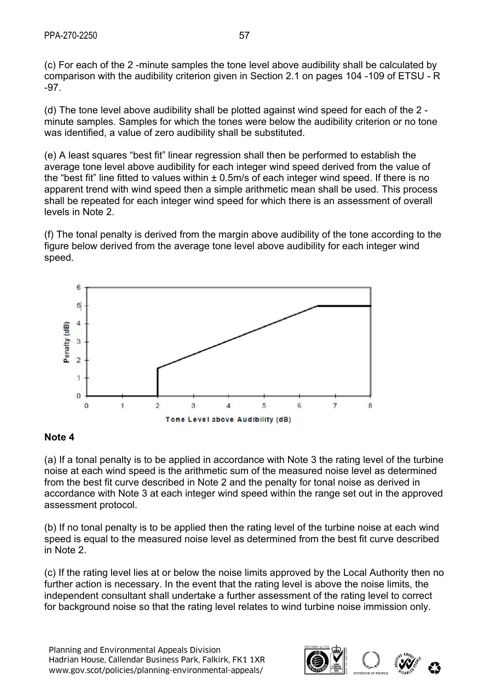(c) For each of the 2 -minute samples the tone level above audibility shall be calculated by comparison with the audibility criterion given in Section 2.1 on pages 104 -109 of ETSU - R -97.

(d) The tone level above audibility shall be plotted against wind speed for each of the 2 minute samples. Samples for which the tones were below the audibility criterion or no tone was identified, a value of zero audibility shall be substituted.

(e) A least squares "best fit" linear regression shall then be performed to establish the average tone level above audibility for each integer wind speed derived from the value of the "best fit" line fitted to values within ± 0.5m/s of each integer wind speed. If there is no apparent trend with wind speed then a simple arithmetic mean shall be used. This process shall be repeated for each integer wind speed for which there is an assessment of overall levels in Note 2.

(f) The tonal penalty is derived from the margin above audibility of the tone according to the figure below derived from the average tone level above audibility for each integer wind speed.



## **Note 4**

(a) If a tonal penalty is to be applied in accordance with Note 3 the rating level of the turbine noise at each wind speed is the arithmetic sum of the measured noise level as determined from the best fit curve described in Note 2 and the penalty for tonal noise as derived in accordance with Note 3 at each integer wind speed within the range set out in the approved assessment protocol.

(b) If no tonal penalty is to be applied then the rating level of the turbine noise at each wind speed is equal to the measured noise level as determined from the best fit curve described in Note 2.

(c) If the rating level lies at or below the noise limits approved by the Local Authority then no further action is necessary. In the event that the rating level is above the noise limits, the independent consultant shall undertake a further assessment of the rating level to correct for background noise so that the rating level relates to wind turbine noise immission only.

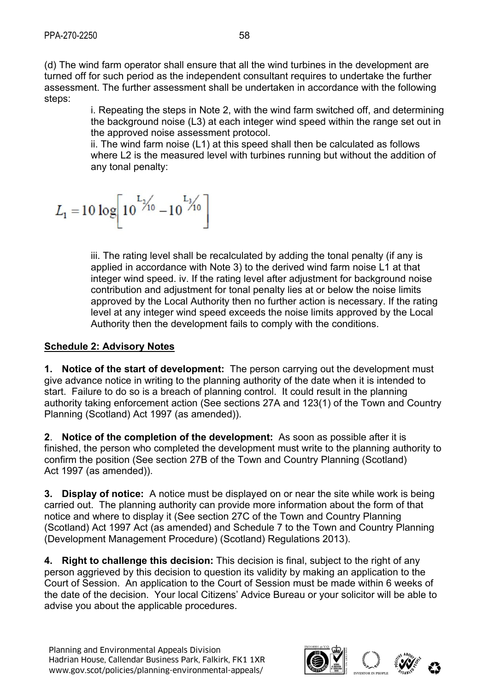(d) The wind farm operator shall ensure that all the wind turbines in the development are turned off for such period as the independent consultant requires to undertake the further assessment. The further assessment shall be undertaken in accordance with the following steps:

> i. Repeating the steps in Note 2, with the wind farm switched off, and determining the background noise (L3) at each integer wind speed within the range set out in the approved noise assessment protocol.

ii. The wind farm noise (L1) at this speed shall then be calculated as follows where L2 is the measured level with turbines running but without the addition of any tonal penalty:

$$
L_1 = 10 \log \left[ 10^{L_{\frac{1}{10}}}-10^{L_{\frac{3}{10}}}\right]
$$

iii. The rating level shall be recalculated by adding the tonal penalty (if any is applied in accordance with Note 3) to the derived wind farm noise L1 at that integer wind speed. iv. If the rating level after adjustment for background noise contribution and adjustment for tonal penalty lies at or below the noise limits approved by the Local Authority then no further action is necessary. If the rating level at any integer wind speed exceeds the noise limits approved by the Local Authority then the development fails to comply with the conditions.

## **Schedule 2: Advisory Notes**

**1. Notice of the start of development:** The person carrying out the development must give advance notice in writing to the planning authority of the date when it is intended to start. Failure to do so is a breach of planning control. It could result in the planning authority taking enforcement action (See sections 27A and 123(1) of the Town and Country Planning (Scotland) Act 1997 (as amended)).

**2**. **Notice of the completion of the development:** As soon as possible after it is finished, the person who completed the development must write to the planning authority to confirm the position (See section 27B of the Town and Country Planning (Scotland) Act 1997 (as amended)).

**3. Display of notice:** A notice must be displayed on or near the site while work is being carried out. The planning authority can provide more information about the form of that notice and where to display it (See section 27C of the Town and Country Planning (Scotland) Act 1997 Act (as amended) and Schedule 7 to the Town and Country Planning (Development Management Procedure) (Scotland) Regulations 2013).

**4. Right to challenge this decision:** This decision is final, subject to the right of any person aggrieved by this decision to question its validity by making an application to the Court of Session. An application to the Court of Session must be made within 6 weeks of the date of the decision. Your local Citizens' Advice Bureau or your solicitor will be able to advise you about the applicable procedures.